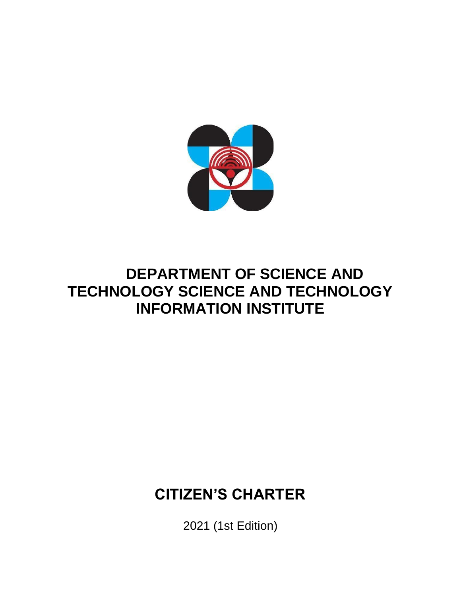

# **DEPARTMENT OF SCIENCE AND TECHNOLOGY SCIENCE AND TECHNOLOGY INFORMATION INSTITUTE**

# **CITIZEN'S CHARTER**

2021 (1st Edition)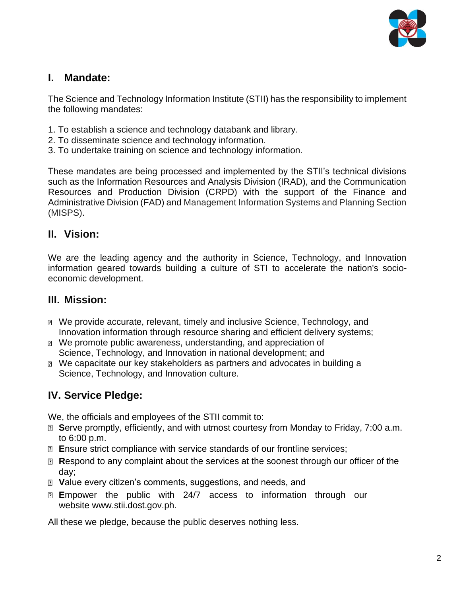

#### **I. Mandate:**

The Science and Technology Information Institute (STII) has the responsibility to implement the following mandates:

- 1. To establish a science and technology databank and library.
- 2. To disseminate science and technology information.
- 3. To undertake training on science and technology information.

These mandates are being processed and implemented by the STII's technical divisions such as the Information Resources and Analysis Division (IRAD), and the Communication Resources and Production Division (CRPD) with the support of the Finance and Administrative Division (FAD) and Management Information Systems and Planning Section (MISPS).

#### **II. Vision:**

We are the leading agency and the authority in Science, Technology, and Innovation information geared towards building a culture of STI to accelerate the nation's socioeconomic development.

#### **III. Mission:**

- We provide accurate, relevant, timely and inclusive Science, Technology, and Innovation information through resource sharing and efficient delivery systems;
- **Me promote public awareness, understanding, and appreciation of** Science, Technology, and Innovation in national development; and
- We capacitate our key stakeholders as partners and advocates in building a Science, Technology, and Innovation culture.

### **IV. Service Pledge:**

We, the officials and employees of the STII commit to:

- **B** Serve promptly, efficiently, and with utmost courtesy from Monday to Friday, 7:00 a.m. to 6:00 p.m.
- **E**nsure strict compliance with service standards of our frontline services;
- **R**espond to any complaint about the services at the soonest through our officer of the day;
- **V**alue every citizen's comments, suggestions, and needs, and
- **E**mpower the public with 24/7 access to information through our website www.stii.dost.gov.ph.

All these we pledge, because the public deserves nothing less.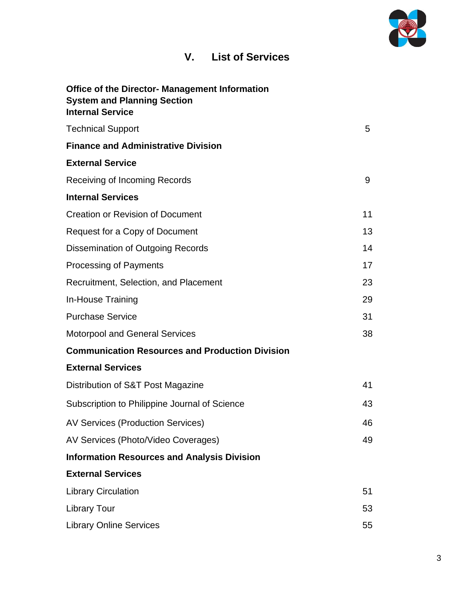

## **V. List of Services**

| <b>Office of the Director- Management Information</b><br><b>System and Planning Section</b><br><b>Internal Service</b> |    |
|------------------------------------------------------------------------------------------------------------------------|----|
| <b>Technical Support</b>                                                                                               | 5  |
| <b>Finance and Administrative Division</b>                                                                             |    |
| <b>External Service</b>                                                                                                |    |
| Receiving of Incoming Records                                                                                          | 9  |
| <b>Internal Services</b>                                                                                               |    |
| <b>Creation or Revision of Document</b>                                                                                | 11 |
| Request for a Copy of Document                                                                                         | 13 |
| Dissemination of Outgoing Records                                                                                      | 14 |
| <b>Processing of Payments</b>                                                                                          | 17 |
| Recruitment, Selection, and Placement                                                                                  | 23 |
| In-House Training                                                                                                      | 29 |
| <b>Purchase Service</b>                                                                                                | 31 |
| <b>Motorpool and General Services</b>                                                                                  | 38 |
| <b>Communication Resources and Production Division</b>                                                                 |    |
| <b>External Services</b>                                                                                               |    |
| Distribution of S&T Post Magazine                                                                                      | 41 |
| Subscription to Philippine Journal of Science                                                                          | 43 |
| <b>AV Services (Production Services)</b>                                                                               | 46 |
| AV Services (Photo/Video Coverages)                                                                                    | 49 |
| <b>Information Resources and Analysis Division</b>                                                                     |    |
| <b>External Services</b>                                                                                               |    |
| <b>Library Circulation</b>                                                                                             | 51 |
| <b>Library Tour</b>                                                                                                    | 53 |
| <b>Library Online Services</b>                                                                                         | 55 |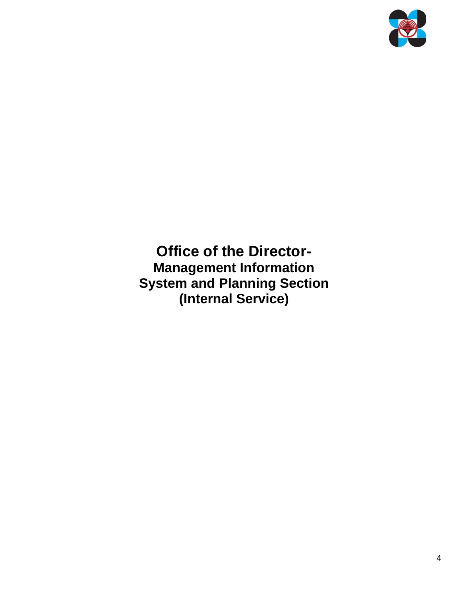

**Office of the Director-Management Information System and Planning Section (Internal Service)**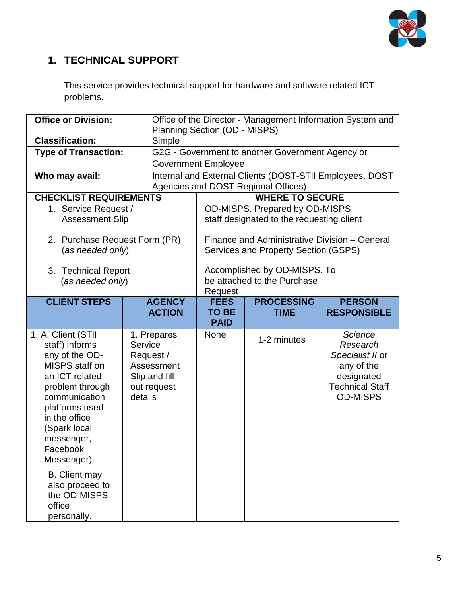

## **1. TECHNICAL SUPPORT**

This service provides technical support for hardware and software related ICT problems.

| <b>Office or Division:</b>                                                                                                                                                                                                 |                                                                                              | Planning Section (OD - MISPS)                               |                                                  | Office of the Director - Management Information System and                                                              |  |
|----------------------------------------------------------------------------------------------------------------------------------------------------------------------------------------------------------------------------|----------------------------------------------------------------------------------------------|-------------------------------------------------------------|--------------------------------------------------|-------------------------------------------------------------------------------------------------------------------------|--|
| <b>Classification:</b>                                                                                                                                                                                                     | Simple                                                                                       |                                                             |                                                  |                                                                                                                         |  |
| <b>Type of Transaction:</b>                                                                                                                                                                                                |                                                                                              |                                                             | G2G - Government to another Government Agency or |                                                                                                                         |  |
|                                                                                                                                                                                                                            |                                                                                              | <b>Government Employee</b>                                  |                                                  |                                                                                                                         |  |
| Who may avail:                                                                                                                                                                                                             |                                                                                              |                                                             |                                                  | Internal and External Clients (DOST-STII Employees, DOST                                                                |  |
|                                                                                                                                                                                                                            |                                                                                              |                                                             | Agencies and DOST Regional Offices)              |                                                                                                                         |  |
| <b>CHECKLIST REQUIREMENTS</b>                                                                                                                                                                                              |                                                                                              | <b>WHERE TO SECURE</b>                                      |                                                  |                                                                                                                         |  |
| 1. Service Request /                                                                                                                                                                                                       |                                                                                              |                                                             | OD-MISPS. Prepared by OD-MISPS                   |                                                                                                                         |  |
| <b>Assessment Slip</b>                                                                                                                                                                                                     |                                                                                              |                                                             | staff designated to the requesting client        |                                                                                                                         |  |
|                                                                                                                                                                                                                            |                                                                                              |                                                             |                                                  |                                                                                                                         |  |
| 2. Purchase Request Form (PR)                                                                                                                                                                                              |                                                                                              |                                                             | Finance and Administrative Division - General    |                                                                                                                         |  |
| (as needed only)                                                                                                                                                                                                           |                                                                                              | Services and Property Section (GSPS)                        |                                                  |                                                                                                                         |  |
|                                                                                                                                                                                                                            |                                                                                              |                                                             |                                                  |                                                                                                                         |  |
| 3. Technical Report                                                                                                                                                                                                        |                                                                                              | Accomplished by OD-MISPS. To<br>be attached to the Purchase |                                                  |                                                                                                                         |  |
| (as needed only)                                                                                                                                                                                                           |                                                                                              | Request                                                     |                                                  |                                                                                                                         |  |
| <b>CLIENT STEPS</b>                                                                                                                                                                                                        | <b>AGENCY</b>                                                                                | <b>FEES</b><br><b>PROCESSING</b><br><b>PERSON</b>           |                                                  |                                                                                                                         |  |
|                                                                                                                                                                                                                            | <b>ACTION</b>                                                                                | <b>TO BE</b>                                                | <b>TIME</b>                                      | <b>RESPONSIBLE</b>                                                                                                      |  |
|                                                                                                                                                                                                                            |                                                                                              | <b>PAID</b>                                                 |                                                  |                                                                                                                         |  |
| 1. A. Client (STII<br>staff) informs<br>any of the OD-<br>MISPS staff on<br>an ICT related<br>problem through<br>communication<br>platforms used<br>in the office<br>(Spark local<br>messenger,<br>Facebook<br>Messenger). | 1. Prepares<br>Service<br>Request /<br>Assessment<br>Slip and fill<br>out request<br>details | <b>None</b>                                                 | 1-2 minutes                                      | <b>Science</b><br>Research<br>Specialist II or<br>any of the<br>designated<br><b>Technical Staff</b><br><b>OD-MISPS</b> |  |
| <b>B.</b> Client may<br>also proceed to<br>the OD-MISPS<br>office<br>personally.                                                                                                                                           |                                                                                              |                                                             |                                                  |                                                                                                                         |  |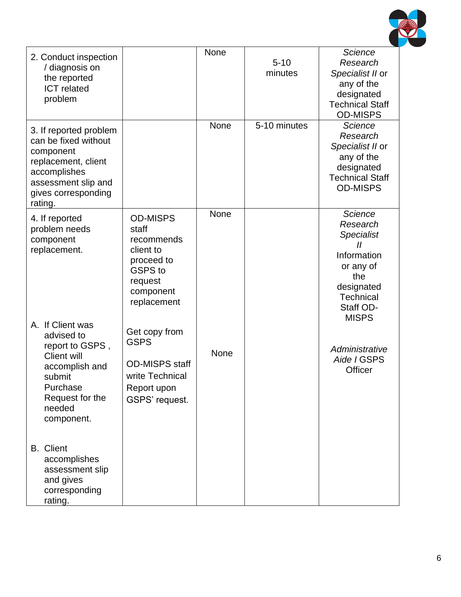

| 2. Conduct inspection<br>/ diagnosis on<br>the reported<br><b>ICT</b> related<br>problem                                                                    |                                                                                                                            | None | $5 - 10$<br>minutes | <b>Science</b><br>Research<br>Specialist II or<br>any of the<br>designated<br><b>Technical Staff</b><br><b>OD-MISPS</b>                                                |
|-------------------------------------------------------------------------------------------------------------------------------------------------------------|----------------------------------------------------------------------------------------------------------------------------|------|---------------------|------------------------------------------------------------------------------------------------------------------------------------------------------------------------|
| 3. If reported problem<br>can be fixed without<br>component<br>replacement, client<br>accomplishes<br>assessment slip and<br>gives corresponding<br>rating. |                                                                                                                            | None | 5-10 minutes        | <b>Science</b><br>Research<br>Specialist II or<br>any of the<br>designated<br><b>Technical Staff</b><br><b>OD-MISPS</b>                                                |
| 4. If reported<br>problem needs<br>component<br>replacement.                                                                                                | <b>OD-MISPS</b><br>staff<br>recommends<br>client to<br>proceed to<br><b>GSPS</b> to<br>request<br>component<br>replacement | None |                     | <b>Science</b><br>Research<br><b>Specialist</b><br>$^{\prime\prime}$<br>Information<br>or any of<br>the<br>designated<br><b>Technical</b><br>Staff OD-<br><b>MISPS</b> |
| A. If Client was<br>advised to<br>report to GSPS,<br><b>Client will</b><br>accomplish and<br>submit<br>Purchase<br>Request for the<br>needed<br>component.  | Get copy from<br><b>GSPS</b><br><b>OD-MISPS staff</b><br>write Technical<br>Report upon<br>GSPS' request.                  | None |                     | Administrative<br>Aide I GSPS<br>Officer                                                                                                                               |
| <b>B.</b> Client<br>accomplishes<br>assessment slip<br>and gives<br>corresponding<br>rating.                                                                |                                                                                                                            |      |                     |                                                                                                                                                                        |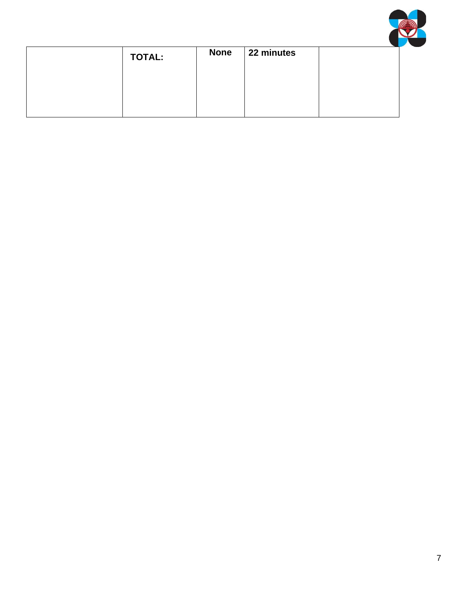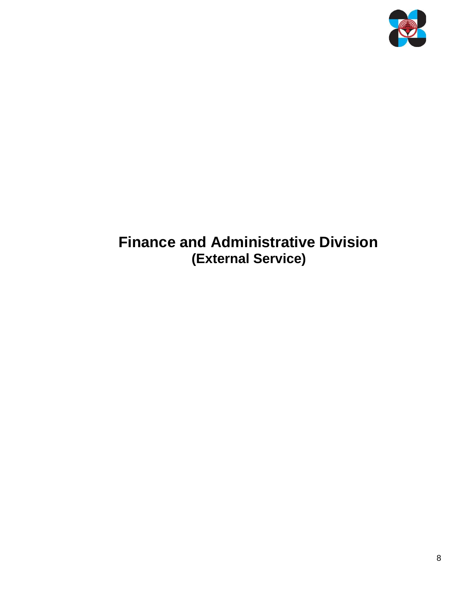

# **Finance and Administrative Division (External Service)**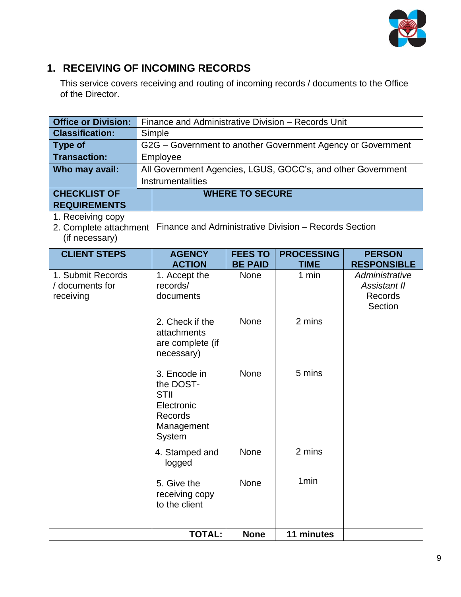

### **1. RECEIVING OF INCOMING RECORDS**

This service covers receiving and routing of incoming records / documents to the Office of the Director.

| <b>Office or Division:</b>                                    | Finance and Administrative Division - Records Unit                                        |                        |                   |                                                      |
|---------------------------------------------------------------|-------------------------------------------------------------------------------------------|------------------------|-------------------|------------------------------------------------------|
| <b>Classification:</b>                                        | Simple                                                                                    |                        |                   |                                                      |
| <b>Type of</b>                                                | G2G - Government to another Government Agency or Government                               |                        |                   |                                                      |
| <b>Transaction:</b>                                           | Employee                                                                                  |                        |                   |                                                      |
| Who may avail:                                                | All Government Agencies, LGUS, GOCC's, and other Government                               |                        |                   |                                                      |
|                                                               | Instrumentalities                                                                         |                        |                   |                                                      |
| <b>CHECKLIST OF</b>                                           |                                                                                           | <b>WHERE TO SECURE</b> |                   |                                                      |
| <b>REQUIREMENTS</b>                                           |                                                                                           |                        |                   |                                                      |
| 1. Receiving copy<br>2. Complete attachment<br>(if necessary) | Finance and Administrative Division - Records Section                                     |                        |                   |                                                      |
| <b>CLIENT STEPS</b>                                           | <b>AGENCY</b>                                                                             | <b>FEES TO</b>         | <b>PROCESSING</b> | <b>PERSON</b>                                        |
|                                                               | <b>ACTION</b>                                                                             | <b>BE PAID</b>         | <b>TIME</b>       | <b>RESPONSIBLE</b>                                   |
| 1. Submit Records<br>/ documents for<br>receiving             | 1. Accept the<br>records/<br>documents                                                    | <b>None</b>            | 1 min             | Administrative<br>Assistant II<br>Records<br>Section |
|                                                               | 2. Check if the<br>attachments<br>are complete (if<br>necessary)                          | <b>None</b>            | 2 mins            |                                                      |
|                                                               | 3. Encode in<br>the DOST-<br><b>STII</b><br>Electronic<br>Records<br>Management<br>System | <b>None</b>            | 5 mins            |                                                      |
|                                                               | 4. Stamped and<br>logged                                                                  | None                   | 2 mins            |                                                      |
|                                                               | 5. Give the<br>receiving copy<br>to the client                                            | None                   | 1 <sub>min</sub>  |                                                      |
|                                                               |                                                                                           |                        |                   |                                                      |
|                                                               | <b>TOTAL:</b>                                                                             | <b>None</b>            | 11 minutes        |                                                      |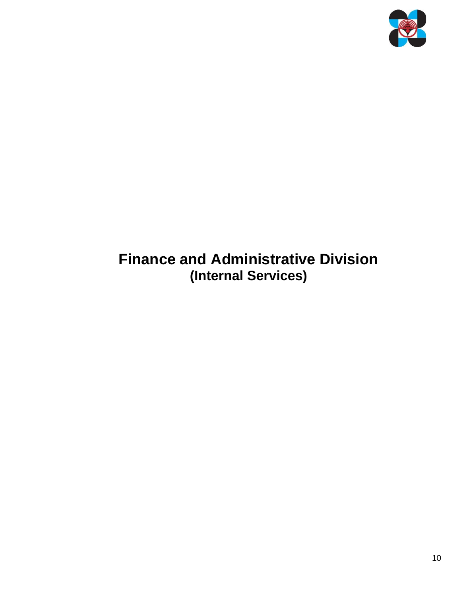

# **Finance and Administrative Division (Internal Services)**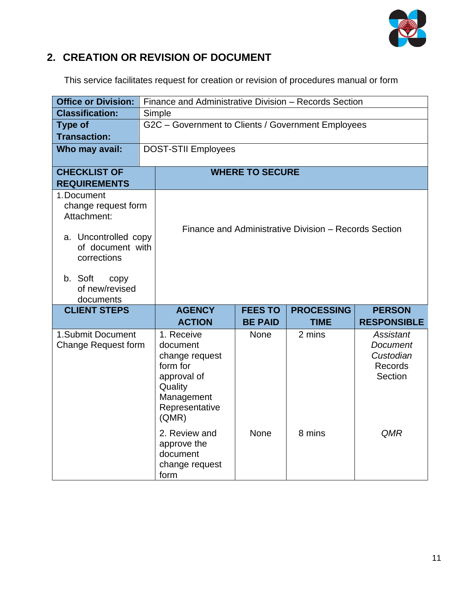

## **2. CREATION OR REVISION OF DOCUMENT**

This service facilitates request for creation or revision of procedures manual or form

| <b>Office or Division:</b>                              | Finance and Administrative Division - Records Section              |                |                                                       |                      |
|---------------------------------------------------------|--------------------------------------------------------------------|----------------|-------------------------------------------------------|----------------------|
| <b>Classification:</b>                                  | Simple                                                             |                |                                                       |                      |
| <b>Type of</b>                                          | G2C - Government to Clients / Government Employees                 |                |                                                       |                      |
| <b>Transaction:</b>                                     |                                                                    |                |                                                       |                      |
| Who may avail:                                          | <b>DOST-STII Employees</b>                                         |                |                                                       |                      |
| <b>CHECKLIST OF</b>                                     | <b>WHERE TO SECURE</b>                                             |                |                                                       |                      |
| <b>REQUIREMENTS</b>                                     |                                                                    |                |                                                       |                      |
| 1. Document<br>change request form<br>Attachment:       |                                                                    |                |                                                       |                      |
| a. Uncontrolled copy<br>of document with<br>corrections |                                                                    |                | Finance and Administrative Division – Records Section |                      |
| b. Soft<br>copy<br>of new/revised<br>documents          |                                                                    |                |                                                       |                      |
| <b>CLIENT STEPS</b>                                     | <b>AGENCY</b>                                                      | <b>FEES TO</b> | <b>PROCESSING</b>                                     | <b>PERSON</b>        |
|                                                         | <b>ACTION</b>                                                      | <b>BE PAID</b> | <b>TIME</b>                                           | <b>RESPONSIBLE</b>   |
| 1.Submit Document                                       | 1. Receive                                                         | <b>None</b>    | 2 mins                                                | <b>Assistant</b>     |
| Change Request form                                     | document                                                           |                |                                                       | <b>Document</b>      |
|                                                         | change request<br>form for                                         |                |                                                       | Custodian<br>Records |
|                                                         | approval of                                                        |                |                                                       | Section              |
|                                                         | Quality                                                            |                |                                                       |                      |
|                                                         | Management                                                         |                |                                                       |                      |
|                                                         | Representative<br>(QMR)                                            |                |                                                       |                      |
|                                                         | 2. Review and<br>approve the<br>document<br>change request<br>form | <b>None</b>    | 8 mins                                                | QMR                  |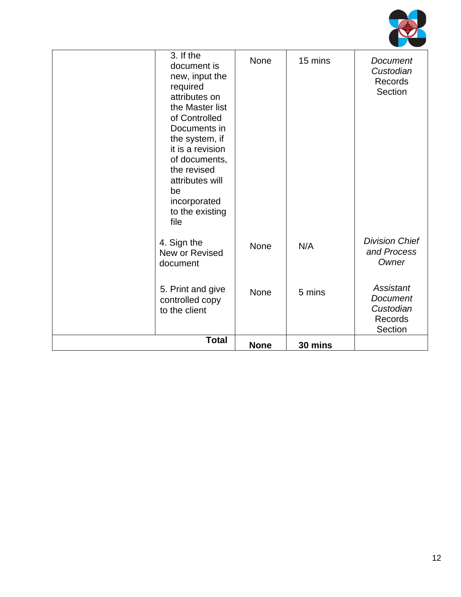

| 3. If the<br>document is<br>new, input the<br>required<br>attributes on<br>the Master list<br>of Controlled<br>Documents in<br>the system, if<br>it is a revision<br>of documents,<br>the revised<br>attributes will<br>be<br>incorporated<br>to the existing<br>file | None        | 15 mins | Document<br>Custodian<br>Records<br>Section                            |
|-----------------------------------------------------------------------------------------------------------------------------------------------------------------------------------------------------------------------------------------------------------------------|-------------|---------|------------------------------------------------------------------------|
| 4. Sign the<br>New or Revised<br>document                                                                                                                                                                                                                             | None        | N/A     | <b>Division Chief</b><br>and Process<br>Owner                          |
| 5. Print and give<br>controlled copy<br>to the client                                                                                                                                                                                                                 | None        | 5 mins  | <b>Assistant</b><br><b>Document</b><br>Custodian<br>Records<br>Section |
| <b>Total</b>                                                                                                                                                                                                                                                          | <b>None</b> | 30 mins |                                                                        |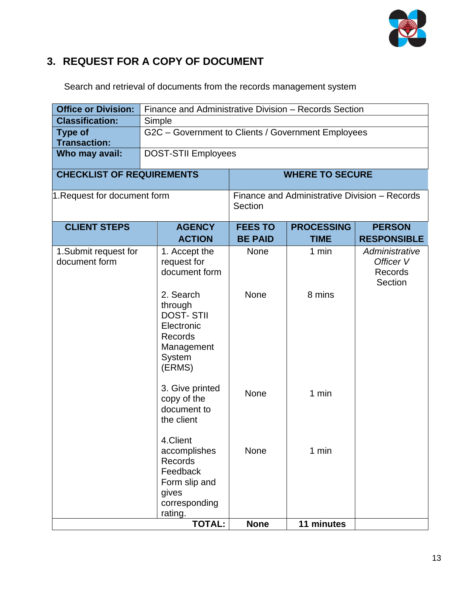

## **3. REQUEST FOR A COPY OF DOCUMENT**

Search and retrieval of documents from the records management system

| <b>Office or Division:</b>       | Finance and Administrative Division - Records Section |                |                                               |                    |
|----------------------------------|-------------------------------------------------------|----------------|-----------------------------------------------|--------------------|
| <b>Classification:</b>           | Simple                                                |                |                                               |                    |
| <b>Type of</b>                   | G2C - Government to Clients / Government Employees    |                |                                               |                    |
| <b>Transaction:</b>              |                                                       |                |                                               |                    |
| Who may avail:                   | <b>DOST-STII Employees</b>                            |                |                                               |                    |
| <b>CHECKLIST OF REQUIREMENTS</b> |                                                       |                | <b>WHERE TO SECURE</b>                        |                    |
|                                  |                                                       |                |                                               |                    |
| 1. Request for document form     |                                                       |                | Finance and Administrative Division - Records |                    |
|                                  |                                                       | Section        |                                               |                    |
| <b>CLIENT STEPS</b>              | <b>AGENCY</b>                                         | <b>FEES TO</b> | <b>PROCESSING</b>                             | <b>PERSON</b>      |
|                                  | <b>ACTION</b>                                         | <b>BE PAID</b> | <b>TIME</b>                                   | <b>RESPONSIBLE</b> |
| 1. Submit request for            | 1. Accept the                                         | None           | 1 min                                         | Administrative     |
| document form                    | request for                                           |                |                                               | Officer V          |
|                                  | document form                                         |                |                                               | Records            |
|                                  | 2. Search                                             |                |                                               | Section            |
|                                  | through                                               | <b>None</b>    | 8 mins                                        |                    |
|                                  | <b>DOST-STII</b>                                      |                |                                               |                    |
|                                  | Electronic                                            |                |                                               |                    |
|                                  | Records                                               |                |                                               |                    |
|                                  | Management                                            |                |                                               |                    |
|                                  | <b>System</b><br>(ERMS)                               |                |                                               |                    |
|                                  |                                                       |                |                                               |                    |
|                                  | 3. Give printed                                       | None           | 1 min                                         |                    |
|                                  | copy of the                                           |                |                                               |                    |
|                                  | document to                                           |                |                                               |                    |
|                                  | the client                                            |                |                                               |                    |
|                                  | 4.Client                                              |                |                                               |                    |
|                                  | accomplishes                                          | None           | 1 min                                         |                    |
|                                  | Records                                               |                |                                               |                    |
|                                  | Feedback                                              |                |                                               |                    |
|                                  | Form slip and<br>gives                                |                |                                               |                    |
|                                  | corresponding                                         |                |                                               |                    |
|                                  | rating.                                               |                |                                               |                    |
|                                  | <b>TOTAL:</b>                                         | <b>None</b>    | 11 minutes                                    |                    |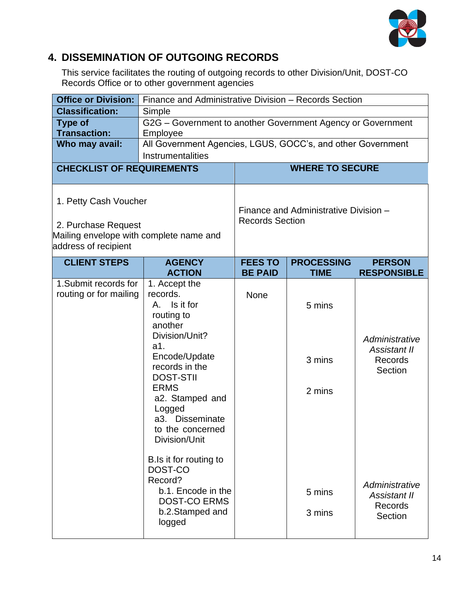

## **4. DISSEMINATION OF OUTGOING RECORDS**

This service facilitates the routing of outgoing records to other Division/Unit, DOST-CO Records Office or to other government agencies

| <b>Office or Division:</b>                                                                                      | Finance and Administrative Division - Records Section                                                                                                                                                                                                     |                        |                                       |                                                             |
|-----------------------------------------------------------------------------------------------------------------|-----------------------------------------------------------------------------------------------------------------------------------------------------------------------------------------------------------------------------------------------------------|------------------------|---------------------------------------|-------------------------------------------------------------|
| <b>Classification:</b>                                                                                          | Simple                                                                                                                                                                                                                                                    |                        |                                       |                                                             |
| <b>Type of</b>                                                                                                  | G2G - Government to another Government Agency or Government                                                                                                                                                                                               |                        |                                       |                                                             |
| <b>Transaction:</b>                                                                                             | Employee                                                                                                                                                                                                                                                  |                        |                                       |                                                             |
| Who may avail:                                                                                                  | All Government Agencies, LGUS, GOCC's, and other Government                                                                                                                                                                                               |                        |                                       |                                                             |
|                                                                                                                 | Instrumentalities                                                                                                                                                                                                                                         |                        |                                       |                                                             |
| <b>CHECKLIST OF REQUIREMENTS</b>                                                                                |                                                                                                                                                                                                                                                           |                        | <b>WHERE TO SECURE</b>                |                                                             |
| 1. Petty Cash Voucher<br>2. Purchase Request<br>Mailing envelope with complete name and<br>address of recipient |                                                                                                                                                                                                                                                           | <b>Records Section</b> | Finance and Administrative Division - |                                                             |
| <b>CLIENT STEPS</b>                                                                                             | <b>AGENCY</b>                                                                                                                                                                                                                                             | <b>FEES TO</b>         | <b>PROCESSING</b>                     | <b>PERSON</b>                                               |
|                                                                                                                 | <b>ACTION</b>                                                                                                                                                                                                                                             | <b>BE PAID</b>         | <b>TIME</b>                           | <b>RESPONSIBLE</b>                                          |
| 1. Submit records for<br>routing or for mailing                                                                 | 1. Accept the<br>records.<br>Is it for<br>A.<br>routing to<br>another<br>Division/Unit?<br>a1.<br>Encode/Update<br>records in the<br><b>DOST-STII</b><br><b>ERMS</b><br>a2. Stamped and<br>Logged<br>a3. Disseminate<br>to the concerned<br>Division/Unit | None                   | 5 mins<br>3 mins<br>2 mins            | Administrative<br><b>Assistant II</b><br>Records<br>Section |
|                                                                                                                 | B.Is it for routing to<br>DOST-CO<br>Record?<br>b.1. Encode in the<br><b>DOST-CO ERMS</b><br>b.2.Stamped and<br>logged                                                                                                                                    |                        | 5 mins<br>3 mins                      | Administrative<br>Assistant II<br>Records<br>Section        |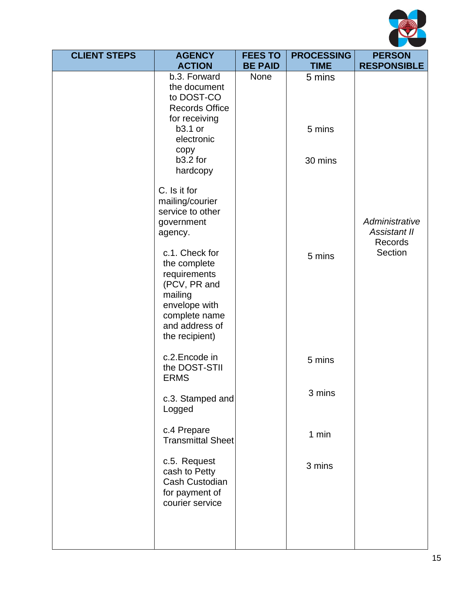

| <b>CLIENT STEPS</b> | <b>AGENCY</b>                                                                                                                                   | <b>FEES TO</b>         | <b>PROCESSING</b>     | <b>PERSON</b>                             |
|---------------------|-------------------------------------------------------------------------------------------------------------------------------------------------|------------------------|-----------------------|-------------------------------------------|
|                     | <b>ACTION</b><br>b.3. Forward                                                                                                                   | <b>BE PAID</b><br>None | <b>TIME</b><br>5 mins | <b>RESPONSIBLE</b>                        |
|                     | the document<br>to DOST-CO<br><b>Records Office</b><br>for receiving                                                                            |                        |                       |                                           |
|                     | b3.1 or<br>electronic<br>copy                                                                                                                   |                        | 5 mins                |                                           |
|                     | b3.2 for<br>hardcopy                                                                                                                            |                        | 30 mins               |                                           |
|                     | C. Is it for<br>mailing/courier<br>service to other<br>government<br>agency.                                                                    |                        |                       | Administrative<br>Assistant II<br>Records |
|                     | c.1. Check for<br>the complete<br>requirements<br>(PCV, PR and<br>mailing<br>envelope with<br>complete name<br>and address of<br>the recipient) |                        | 5 mins                | Section                                   |
|                     | c.2. Encode in<br>the DOST-STII<br><b>ERMS</b>                                                                                                  |                        | 5 mins                |                                           |
|                     | c.3. Stamped and<br>Logged                                                                                                                      |                        | 3 mins                |                                           |
|                     | c.4 Prepare<br><b>Transmittal Sheet</b>                                                                                                         |                        | 1 min                 |                                           |
|                     | c.5. Request<br>cash to Petty<br>Cash Custodian<br>for payment of<br>courier service                                                            |                        | 3 mins                |                                           |
|                     |                                                                                                                                                 |                        |                       |                                           |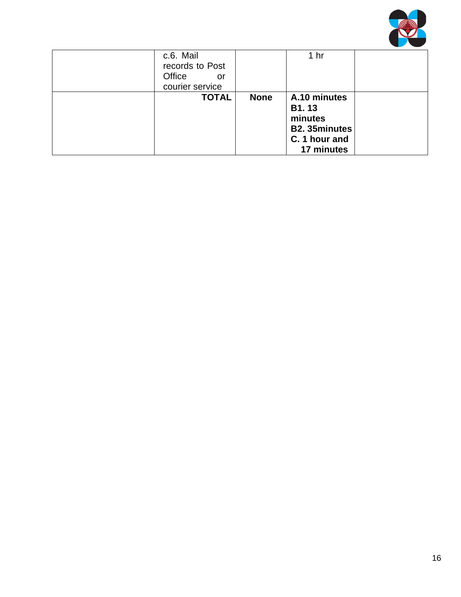

| c.6. Mail<br>records to Post<br>Office<br>or<br>courier service |             | 1 <sub>hr</sub>                                                                        |  |
|-----------------------------------------------------------------|-------------|----------------------------------------------------------------------------------------|--|
| <b>TOTAL</b>                                                    | <b>None</b> | A.10 minutes<br>B1.13<br>minutes<br><b>B2.35minutes</b><br>C. 1 hour and<br>17 minutes |  |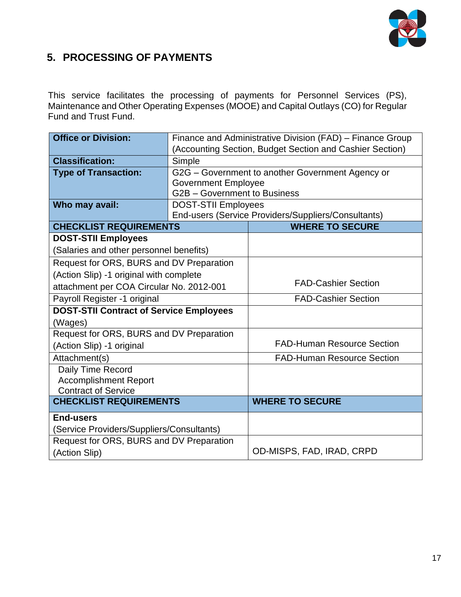

## **5. PROCESSING OF PAYMENTS**

This service facilitates the processing of payments for Personnel Services (PS), Maintenance and Other Operating Expenses (MOOE) and Capital Outlays (CO) for Regular Fund and Trust Fund.

| <b>Office or Division:</b>                     |                                                          | Finance and Administrative Division (FAD) - Finance Group |  |  |
|------------------------------------------------|----------------------------------------------------------|-----------------------------------------------------------|--|--|
|                                                | (Accounting Section, Budget Section and Cashier Section) |                                                           |  |  |
| <b>Classification:</b>                         | Simple                                                   |                                                           |  |  |
| <b>Type of Transaction:</b>                    |                                                          | G2G - Government to another Government Agency or          |  |  |
|                                                | <b>Government Employee</b>                               |                                                           |  |  |
|                                                | G2B - Government to Business                             |                                                           |  |  |
| Who may avail:                                 | <b>DOST-STII Employees</b>                               |                                                           |  |  |
|                                                |                                                          | End-users (Service Providers/Suppliers/Consultants)       |  |  |
| <b>CHECKLIST REQUIREMENTS</b>                  |                                                          | <b>WHERE TO SECURE</b>                                    |  |  |
| <b>DOST-STII Employees</b>                     |                                                          |                                                           |  |  |
| (Salaries and other personnel benefits)        |                                                          |                                                           |  |  |
| Request for ORS, BURS and DV Preparation       |                                                          |                                                           |  |  |
| (Action Slip) -1 original with complete        |                                                          |                                                           |  |  |
| attachment per COA Circular No. 2012-001       |                                                          | <b>FAD-Cashier Section</b>                                |  |  |
| Payroll Register -1 original                   |                                                          | <b>FAD-Cashier Section</b>                                |  |  |
| <b>DOST-STII Contract of Service Employees</b> |                                                          |                                                           |  |  |
| (Wages)                                        |                                                          |                                                           |  |  |
| Request for ORS, BURS and DV Preparation       |                                                          |                                                           |  |  |
| (Action Slip) -1 original                      |                                                          | <b>FAD-Human Resource Section</b>                         |  |  |
| Attachment(s)                                  |                                                          | <b>FAD-Human Resource Section</b>                         |  |  |
| Daily Time Record                              |                                                          |                                                           |  |  |
| <b>Accomplishment Report</b>                   |                                                          |                                                           |  |  |
| <b>Contract of Service</b>                     |                                                          |                                                           |  |  |
| <b>CHECKLIST REQUIREMENTS</b>                  |                                                          | <b>WHERE TO SECURE</b>                                    |  |  |
| <b>End-users</b>                               |                                                          |                                                           |  |  |
| (Service Providers/Suppliers/Consultants)      |                                                          |                                                           |  |  |
| Request for ORS, BURS and DV Preparation       |                                                          |                                                           |  |  |
| (Action Slip)                                  |                                                          | OD-MISPS, FAD, IRAD, CRPD                                 |  |  |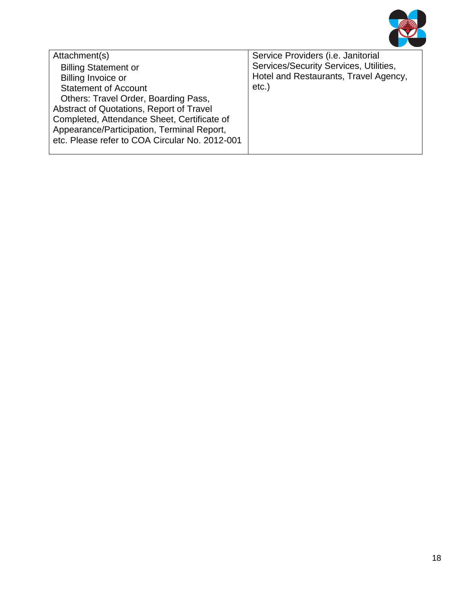

| Attachment(s)                                  | Service Providers (i.e. Janitorial     |
|------------------------------------------------|----------------------------------------|
| <b>Billing Statement or</b>                    | Services/Security Services, Utilities, |
| <b>Billing Invoice or</b>                      | Hotel and Restaurants, Travel Agency,  |
| <b>Statement of Account</b>                    | $etc.$ )                               |
| Others: Travel Order, Boarding Pass,           |                                        |
| Abstract of Quotations, Report of Travel       |                                        |
| Completed, Attendance Sheet, Certificate of    |                                        |
| Appearance/Participation, Terminal Report,     |                                        |
| etc. Please refer to COA Circular No. 2012-001 |                                        |
|                                                |                                        |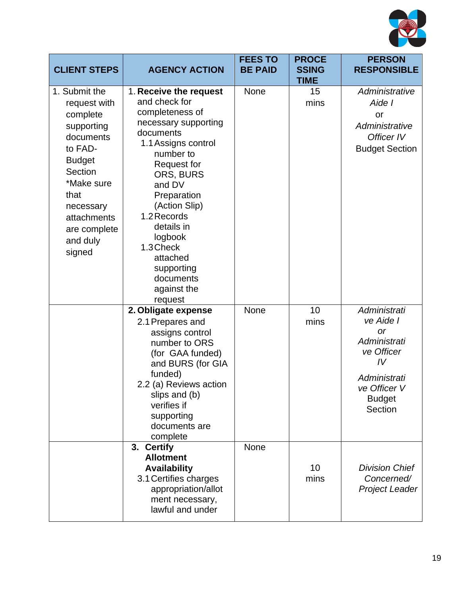

| <b>CLIENT STEPS</b>                                                                                                                                                                                 | <b>AGENCY ACTION</b>                                                                                                                                                                                                                                                                                                                   | <b>FEES TO</b><br><b>BE PAID</b> | <b>PROCE</b><br><b>SSING</b><br><b>TIME</b> | <b>PERSON</b><br><b>RESPONSIBLE</b>                                                                                             |
|-----------------------------------------------------------------------------------------------------------------------------------------------------------------------------------------------------|----------------------------------------------------------------------------------------------------------------------------------------------------------------------------------------------------------------------------------------------------------------------------------------------------------------------------------------|----------------------------------|---------------------------------------------|---------------------------------------------------------------------------------------------------------------------------------|
| 1. Submit the<br>request with<br>complete<br>supporting<br>documents<br>to FAD-<br><b>Budget</b><br>Section<br>*Make sure<br>that<br>necessary<br>attachments<br>are complete<br>and duly<br>signed | 1. Receive the request<br>and check for<br>completeness of<br>necessary supporting<br>documents<br>1.1 Assigns control<br>number to<br><b>Request for</b><br>ORS, BURS<br>and DV<br>Preparation<br>(Action Slip)<br>1.2 Records<br>details in<br>logbook<br>1.3 Check<br>attached<br>supporting<br>documents<br>against the<br>request | None                             | 15<br>mins                                  | Administrative<br>Aide I<br>or<br>Administrative<br>Officer IV<br><b>Budget Section</b>                                         |
|                                                                                                                                                                                                     | 2. Obligate expense<br>2.1 Prepares and<br>assigns control<br>number to ORS<br>(for GAA funded)<br>and BURS (for GIA<br>funded)<br>2.2 (a) Reviews action<br>slips and (b)<br>verifies if<br>supporting<br>documents are<br>complete                                                                                                   | None                             | 10<br>mins                                  | Administrati<br>ve Aide I<br>or<br>Administrati<br>ve Officer<br>IV<br>Administrati<br>ve Officer V<br><b>Budget</b><br>Section |
|                                                                                                                                                                                                     | 3. Certify<br><b>Allotment</b><br><b>Availability</b><br>3.1 Certifies charges<br>appropriation/allot<br>ment necessary,<br>lawful and under                                                                                                                                                                                           | None                             | 10<br>mins                                  | <b>Division Chief</b><br>Concerned/<br><b>Project Leader</b>                                                                    |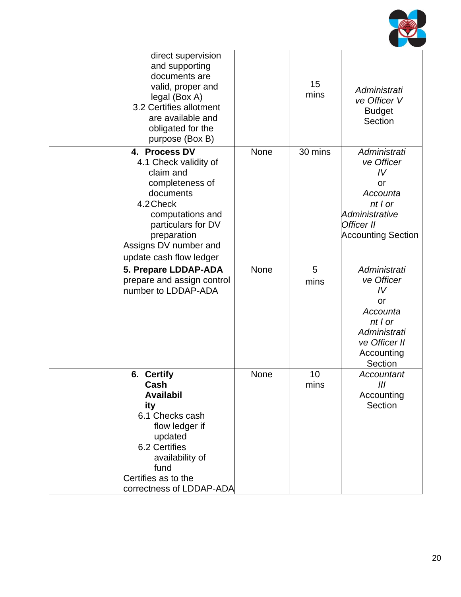

| direct supervision<br>and supporting<br>documents are<br>valid, proper and<br>legal (Box A)<br>3.2 Certifies allotment<br>are available and<br>obligated for the<br>purpose (Box B)                           |             | 15<br>mins | Administrati<br>ve Officer V<br><b>Budget</b><br>Section                                                                       |
|---------------------------------------------------------------------------------------------------------------------------------------------------------------------------------------------------------------|-------------|------------|--------------------------------------------------------------------------------------------------------------------------------|
| 4. Process DV<br>4.1 Check validity of<br>claim and<br>completeness of<br>documents<br>4.2 Check<br>computations and<br>particulars for DV<br>preparation<br>Assigns DV number and<br>update cash flow ledger | <b>None</b> | 30 mins    | Administrati<br>ve Officer<br>IV<br>or<br>Accounta<br>$nt$   $or$<br>Administrative<br>Officer II<br><b>Accounting Section</b> |
| 5. Prepare LDDAP-ADA<br>prepare and assign control<br>number to LDDAP-ADA                                                                                                                                     | <b>None</b> | 5<br>mins  | Administrati<br>ve Officer<br>IV<br>or<br>Accounta<br>$nt$   $or$<br>Administrati<br>ve Officer II<br>Accounting<br>Section    |
| 6. Certify<br>Cash<br><b>Availabil</b><br>ity<br>6.1 Checks cash<br>flow ledger if<br>updated<br>6.2 Certifies<br>availability of<br>fund<br>Certifies as to the<br>correctness of LDDAP-ADA                  | None        | 10<br>mins | Accountant<br>III<br>Accounting<br>Section                                                                                     |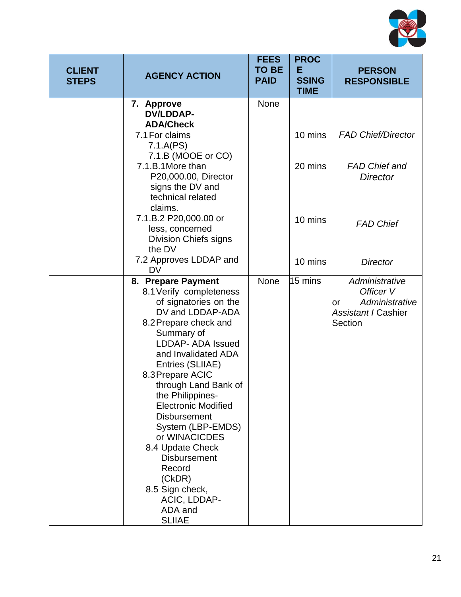

| <b>CLIENT</b><br><b>STEPS</b> | <b>AGENCY ACTION</b>                                                                                                                                                                                                                                                                                                                                                                                                                                                                              | <b>FEES</b><br><b>TO BE</b><br><b>PAID</b> | <b>PROC</b><br>Е<br><b>SSING</b><br><b>TIME</b> | <b>PERSON</b><br><b>RESPONSIBLE</b>                                                   |
|-------------------------------|---------------------------------------------------------------------------------------------------------------------------------------------------------------------------------------------------------------------------------------------------------------------------------------------------------------------------------------------------------------------------------------------------------------------------------------------------------------------------------------------------|--------------------------------------------|-------------------------------------------------|---------------------------------------------------------------------------------------|
|                               | 7. Approve<br><b>DV/LDDAP-</b><br><b>ADA/Check</b>                                                                                                                                                                                                                                                                                                                                                                                                                                                | <b>None</b>                                |                                                 |                                                                                       |
|                               | 7.1 For claims<br>7.1.A(PS)                                                                                                                                                                                                                                                                                                                                                                                                                                                                       |                                            | 10 mins                                         | <b>FAD Chief/Director</b>                                                             |
|                               | 7.1.B (MOOE or CO)<br>7.1.B.1More than<br>P20,000.00, Director<br>signs the DV and                                                                                                                                                                                                                                                                                                                                                                                                                |                                            | 20 mins                                         | <b>FAD Chief and</b><br><b>Director</b>                                               |
|                               | technical related<br>claims.<br>7.1.B.2 P20,000.00 or<br>less, concerned<br><b>Division Chiefs signs</b>                                                                                                                                                                                                                                                                                                                                                                                          |                                            | 10 mins                                         | <b>FAD Chief</b>                                                                      |
|                               | the DV<br>7.2 Approves LDDAP and<br><b>DV</b>                                                                                                                                                                                                                                                                                                                                                                                                                                                     |                                            | 10 mins                                         | <b>Director</b>                                                                       |
|                               | 8. Prepare Payment<br>8.1 Verify completeness<br>of signatories on the<br>DV and LDDAP-ADA<br>8.2 Prepare check and<br>Summary of<br><b>LDDAP- ADA Issued</b><br>and Invalidated ADA<br>Entries (SLIIAE)<br>8.3 Prepare ACIC<br>through Land Bank of<br>the Philippines-<br><b>Electronic Modified</b><br><b>Disbursement</b><br>System (LBP-EMDS)<br>or WINACICDES<br>8.4 Update Check<br><b>Disbursement</b><br>Record<br>(CKDR)<br>8.5 Sign check,<br>ACIC, LDDAP-<br>ADA and<br><b>SLIIAE</b> | None                                       | 15 mins                                         | Administrative<br>Officer V<br>Administrative<br>or<br>Assistant I Cashier<br>Section |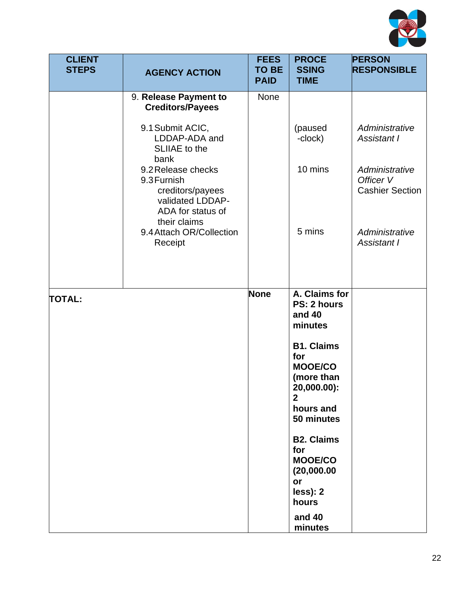

| <b>CLIENT</b><br><b>STEPS</b> | <b>AGENCY ACTION</b>                                                                                           | <b>FEES</b><br><b>TO BE</b><br><b>PAID</b> | <b>PROCE</b><br><b>SSING</b><br><b>TIME</b>                                                                          | <b>PERSON</b><br><b>RESPONSIBLE</b>                   |
|-------------------------------|----------------------------------------------------------------------------------------------------------------|--------------------------------------------|----------------------------------------------------------------------------------------------------------------------|-------------------------------------------------------|
|                               | 9. Release Payment to<br><b>Creditors/Payees</b>                                                               | None                                       |                                                                                                                      |                                                       |
|                               | 9.1 Submit ACIC,<br>LDDAP-ADA and<br>SLIIAE to the<br>bank                                                     |                                            | (paused<br>-clock)                                                                                                   | Administrative<br><b>Assistant I</b>                  |
|                               | 9.2 Release checks<br>9.3 Furnish<br>creditors/payees<br>validated LDDAP-<br>ADA for status of<br>their claims |                                            | 10 mins                                                                                                              | Administrative<br>Officer V<br><b>Cashier Section</b> |
|                               | 9.4 Attach OR/Collection<br>Receipt                                                                            |                                            | 5 mins                                                                                                               | Administrative<br><b>Assistant I</b>                  |
| <b>TOTAL:</b>                 |                                                                                                                | None                                       | A. Claims for<br>PS: 2 hours<br>and 40<br>minutes                                                                    |                                                       |
|                               |                                                                                                                |                                            | <b>B1. Claims</b><br>for<br><b>MOOE/CO</b><br>(more than<br>20,000.00):<br>$\overline{2}$<br>hours and<br>50 minutes |                                                       |
|                               |                                                                                                                |                                            | <b>B2. Claims</b><br>for<br><b>MOOE/CO</b><br>(20,000.00)<br>or<br>less): 2<br>hours                                 |                                                       |
|                               |                                                                                                                |                                            | and 40<br>minutes                                                                                                    |                                                       |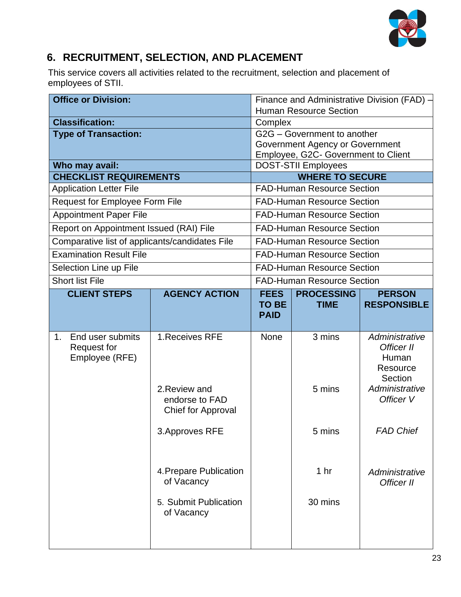

## **6. RECRUITMENT, SELECTION, AND PLACEMENT**

This service covers all activities related to the recruitment, selection and placement of employees of STII.

| <b>Office or Division:</b>                     |                                 |              |                                                                        | Finance and Administrative Division (FAD) $-$ |
|------------------------------------------------|---------------------------------|--------------|------------------------------------------------------------------------|-----------------------------------------------|
|                                                |                                 |              | <b>Human Resource Section</b>                                          |                                               |
| <b>Classification:</b>                         |                                 | Complex      |                                                                        |                                               |
| <b>Type of Transaction:</b>                    |                                 |              | G2G - Government to another                                            |                                               |
|                                                |                                 |              | Government Agency or Government<br>Employee, G2C- Government to Client |                                               |
| Who may avail:                                 |                                 |              | <b>DOST-STII Employees</b>                                             |                                               |
| <b>CHECKLIST REQUIREMENTS</b>                  |                                 |              | <b>WHERE TO SECURE</b>                                                 |                                               |
| <b>Application Letter File</b>                 |                                 |              | <b>FAD-Human Resource Section</b>                                      |                                               |
| Request for Employee Form File                 |                                 |              | <b>FAD-Human Resource Section</b>                                      |                                               |
| <b>Appointment Paper File</b>                  |                                 |              | <b>FAD-Human Resource Section</b>                                      |                                               |
| Report on Appointment Issued (RAI) File        |                                 |              | <b>FAD-Human Resource Section</b>                                      |                                               |
| Comparative list of applicants/candidates File |                                 |              | <b>FAD-Human Resource Section</b>                                      |                                               |
| <b>Examination Result File</b>                 |                                 |              | <b>FAD-Human Resource Section</b>                                      |                                               |
| Selection Line up File                         |                                 |              | <b>FAD-Human Resource Section</b>                                      |                                               |
| <b>Short list File</b>                         |                                 |              | <b>FAD-Human Resource Section</b>                                      |                                               |
| <b>CLIENT STEPS</b>                            | <b>AGENCY ACTION</b>            | <b>FEES</b>  | <b>PROCESSING</b>                                                      | <b>PERSON</b>                                 |
|                                                |                                 | <b>TO BE</b> | <b>TIME</b>                                                            | <b>RESPONSIBLE</b>                            |
|                                                |                                 | <b>PAID</b>  |                                                                        |                                               |
| End user submits<br>$\mathbf{1}$ .             | 1. Receives RFE                 | <b>None</b>  | 3 mins                                                                 | Administrative                                |
| <b>Request for</b>                             |                                 |              |                                                                        | Officer II                                    |
| Employee (RFE)                                 |                                 |              |                                                                        | Human                                         |
|                                                |                                 |              |                                                                        | Resource                                      |
|                                                |                                 |              |                                                                        | Section<br>Administrative                     |
|                                                | 2. Review and<br>endorse to FAD |              | 5 mins                                                                 | Officer V                                     |
|                                                | Chief for Approval              |              |                                                                        |                                               |
|                                                |                                 |              |                                                                        |                                               |
|                                                | 3. Approves RFE                 |              | 5 mins                                                                 | <b>FAD Chief</b>                              |
|                                                |                                 |              |                                                                        |                                               |
|                                                |                                 |              |                                                                        |                                               |
|                                                | 4. Prepare Publication          |              | 1 <sub>hr</sub>                                                        | Administrative                                |
|                                                | of Vacancy                      |              |                                                                        | Officer II                                    |
| 5. Submit Publication                          |                                 |              | 30 mins                                                                |                                               |
|                                                | of Vacancy                      |              |                                                                        |                                               |
|                                                |                                 |              |                                                                        |                                               |
|                                                |                                 |              |                                                                        |                                               |
|                                                |                                 |              |                                                                        |                                               |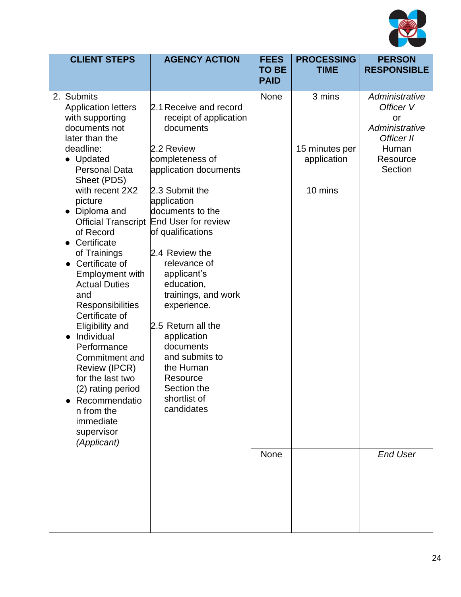

| <b>CLIENT STEPS</b>                                                                                                                                                                                                                                                                                                                                                                                                                                                                                                                                                                                            | <b>AGENCY ACTION</b>                                                                                                                                                                                                                                                                                                                                                                                                                                                           | <b>FEES</b><br><b>TO BE</b><br><b>PAID</b> | <b>PROCESSING</b><br><b>TIME</b>                   | <b>PERSON</b><br><b>RESPONSIBLE</b>                                                               |
|----------------------------------------------------------------------------------------------------------------------------------------------------------------------------------------------------------------------------------------------------------------------------------------------------------------------------------------------------------------------------------------------------------------------------------------------------------------------------------------------------------------------------------------------------------------------------------------------------------------|--------------------------------------------------------------------------------------------------------------------------------------------------------------------------------------------------------------------------------------------------------------------------------------------------------------------------------------------------------------------------------------------------------------------------------------------------------------------------------|--------------------------------------------|----------------------------------------------------|---------------------------------------------------------------------------------------------------|
| 2. Submits<br><b>Application letters</b><br>with supporting<br>documents not<br>later than the<br>deadline:<br>• Updated<br><b>Personal Data</b><br>Sheet (PDS)<br>with recent 2X2<br>picture<br>Diploma and<br><b>Official Transcript</b><br>of Record<br>Certificate<br>of Trainings<br>Certificate of<br><b>Employment with</b><br><b>Actual Duties</b><br>and<br>Responsibilities<br>Certificate of<br>Eligibility and<br>• Individual<br>Performance<br>Commitment and<br>Review (IPCR)<br>for the last two<br>(2) rating period<br>Recommendatio<br>n from the<br>immediate<br>supervisor<br>(Applicant) | 2.1 Receive and record<br>receipt of application<br>documents<br>2.2 Review<br>completeness of<br>application documents<br>2.3 Submit the<br>application<br>documents to the<br><b>End User for review</b><br>of qualifications<br>2.4 Review the<br>relevance of<br>applicant's<br>education,<br>trainings, and work<br>experience.<br>2.5 Return all the<br>application<br>documents<br>and submits to<br>the Human<br>Resource<br>Section the<br>shortlist of<br>candidates | <b>None</b>                                | 3 mins<br>15 minutes per<br>application<br>10 mins | Administrative<br>Officer V<br>or<br>Administrative<br>Officer II<br>Human<br>Resource<br>Section |
|                                                                                                                                                                                                                                                                                                                                                                                                                                                                                                                                                                                                                |                                                                                                                                                                                                                                                                                                                                                                                                                                                                                | <b>None</b>                                |                                                    | <b>End User</b>                                                                                   |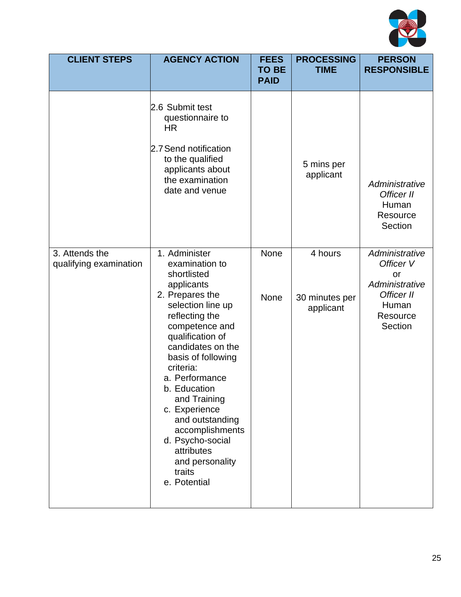

| <b>CLIENT STEPS</b>                      | <b>AGENCY ACTION</b>                                                                                                                                                                                                                                                                                                                                                                                         | <b>FEES</b><br><b>TO BE</b><br><b>PAID</b> | <b>PROCESSING</b><br><b>TIME</b>       | <b>PERSON</b><br><b>RESPONSIBLE</b>                                                               |
|------------------------------------------|--------------------------------------------------------------------------------------------------------------------------------------------------------------------------------------------------------------------------------------------------------------------------------------------------------------------------------------------------------------------------------------------------------------|--------------------------------------------|----------------------------------------|---------------------------------------------------------------------------------------------------|
|                                          | 2.6 Submit test<br>questionnaire to<br><b>HR</b><br>2.7 Send notification<br>to the qualified<br>applicants about<br>the examination<br>date and venue                                                                                                                                                                                                                                                       |                                            | 5 mins per<br>applicant                | Administrative<br>Officer II<br>Human<br>Resource<br>Section                                      |
| 3. Attends the<br>qualifying examination | 1. Administer<br>examination to<br>shortlisted<br>applicants<br>2. Prepares the<br>selection line up<br>reflecting the<br>competence and<br>qualification of<br>candidates on the<br>basis of following<br>criteria:<br>a. Performance<br>b. Education<br>and Training<br>c. Experience<br>and outstanding<br>accomplishments<br>d. Psycho-social<br>attributes<br>and personality<br>traits<br>e. Potential | None<br><b>None</b>                        | 4 hours<br>30 minutes per<br>applicant | Administrative<br>Officer V<br>or<br>Administrative<br>Officer II<br>Human<br>Resource<br>Section |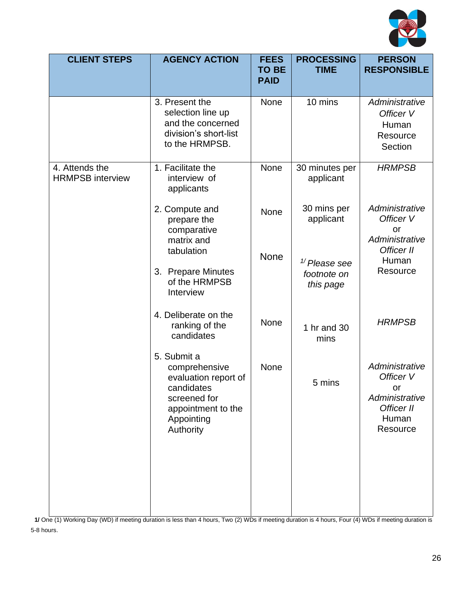

| <b>CLIENT STEPS</b>                       | <b>AGENCY ACTION</b>                                                                                                                | <b>FEES</b><br><b>TO BE</b><br><b>PAID</b> | <b>PROCESSING</b><br><b>TIME</b>                     | <b>PERSON</b><br><b>RESPONSIBLE</b>                                                     |
|-------------------------------------------|-------------------------------------------------------------------------------------------------------------------------------------|--------------------------------------------|------------------------------------------------------|-----------------------------------------------------------------------------------------|
|                                           | 3. Present the<br>selection line up<br>and the concerned<br>division's short-list<br>to the HRMPSB.                                 | None                                       | 10 mins                                              | Administrative<br>Officer V<br>Human<br>Resource<br>Section                             |
| 4. Attends the<br><b>HRMPSB</b> interview | 1. Facilitate the<br>interview of<br>applicants                                                                                     | None                                       | 30 minutes per<br>applicant                          | <b>HRMPSB</b>                                                                           |
|                                           | 2. Compute and<br>prepare the<br>comparative<br>matrix and                                                                          | None                                       | 30 mins per<br>applicant                             | Administrative<br>Officer V<br>or<br>Administrative                                     |
|                                           | tabulation<br>3. Prepare Minutes<br>of the HRMPSB<br>Interview                                                                      | <b>None</b>                                | $\frac{1}{2}$ Please see<br>footnote on<br>this page | Officer II<br>Human<br>Resource                                                         |
|                                           | 4. Deliberate on the<br>ranking of the<br>candidates                                                                                | <b>None</b>                                | 1 hr and 30<br>mins                                  | <b>HRMPSB</b>                                                                           |
|                                           | 5. Submit a<br>comprehensive<br>evaluation report of<br>candidates<br>screened for<br>appointment to the<br>Appointing<br>Authority | <b>None</b>                                | 5 mins                                               | Administrative<br>Officer V<br>or.<br>Administrative<br>Officer II<br>Human<br>Resource |

**1/** One (1) Working Day (WD) if meeting duration is less than 4 hours, Two (2) WDs if meeting duration is 4 hours, Four (4) WDs if meeting duration is 5-8 hours.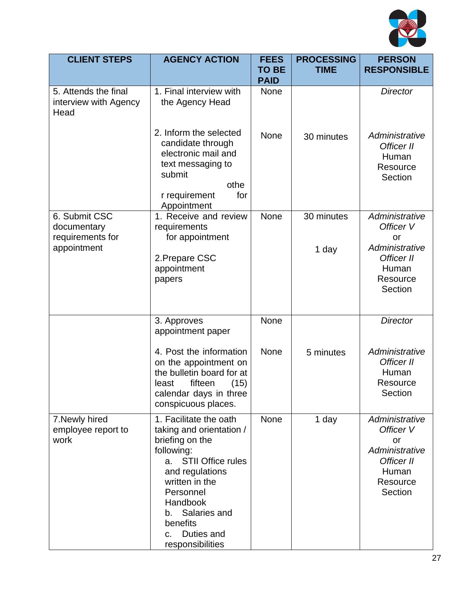

| <b>CLIENT STEPS</b>                                             | <b>AGENCY ACTION</b>                                                                                                                                                                                                                                                   | <b>FEES</b><br><b>TO BE</b><br><b>PAID</b> | <b>PROCESSING</b><br><b>TIME</b> | <b>PERSON</b><br><b>RESPONSIBLE</b>                                                               |
|-----------------------------------------------------------------|------------------------------------------------------------------------------------------------------------------------------------------------------------------------------------------------------------------------------------------------------------------------|--------------------------------------------|----------------------------------|---------------------------------------------------------------------------------------------------|
| 5. Attends the final<br>interview with Agency<br>Head           | 1. Final interview with<br>the Agency Head                                                                                                                                                                                                                             | <b>None</b>                                |                                  | <b>Director</b>                                                                                   |
|                                                                 | 2. Inform the selected<br>candidate through<br>electronic mail and<br>text messaging to<br>submit<br>othe<br>r requirement<br>for<br>Appointment                                                                                                                       | <b>None</b>                                | 30 minutes                       | Administrative<br>Officer II<br>Human<br>Resource<br>Section                                      |
| 6. Submit CSC<br>documentary<br>requirements for<br>appointment | 1. Receive and review<br>requirements<br>for appointment<br>2. Prepare CSC<br>appointment<br>papers                                                                                                                                                                    | None                                       | 30 minutes<br>1 day              | Administrative<br>Officer V<br>or<br>Administrative<br>Officer II<br>Human<br>Resource<br>Section |
|                                                                 | 3. Approves<br>appointment paper                                                                                                                                                                                                                                       | None                                       |                                  | <b>Director</b>                                                                                   |
|                                                                 | 4. Post the information<br>on the appointment on<br>the bulletin board for at<br>fifteen<br>least<br>(15)<br>calendar days in three<br>conspicuous places.                                                                                                             | <b>None</b>                                | 5 minutes                        | Administrative<br>Officer II<br>Human<br>Resource<br>Section                                      |
| 7. Newly hired<br>employee report to<br>work                    | 1. Facilitate the oath<br>taking and orientation /<br>briefing on the<br>following:<br><b>STII Office rules</b><br>a.<br>and regulations<br>written in the<br>Personnel<br>Handbook<br>Salaries and<br>b.<br>benefits<br>Duties and<br>$C_{\cdot}$<br>responsibilities | <b>None</b>                                | 1 day                            | Administrative<br>Officer V<br>or<br>Administrative<br>Officer II<br>Human<br>Resource<br>Section |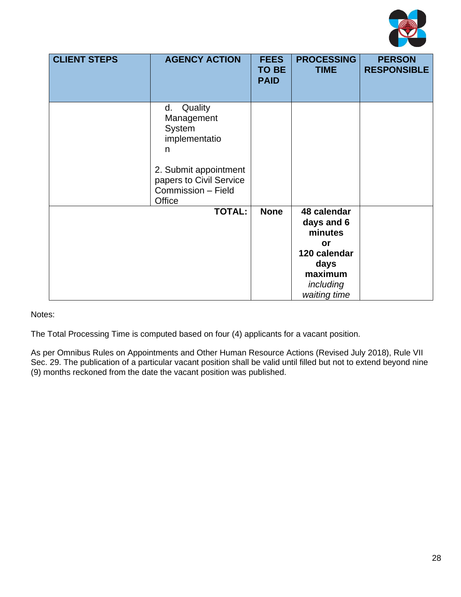

| <b>CLIENT STEPS</b> | <b>AGENCY ACTION</b>                                                                                                                         | <b>FEES</b><br><b>TO BE</b><br><b>PAID</b> | <b>PROCESSING</b><br><b>TIME</b>                                                                           | <b>PERSON</b><br><b>RESPONSIBLE</b> |
|---------------------|----------------------------------------------------------------------------------------------------------------------------------------------|--------------------------------------------|------------------------------------------------------------------------------------------------------------|-------------------------------------|
|                     | d. Quality<br>Management<br>System<br>implementatio<br>n<br>2. Submit appointment<br>papers to Civil Service<br>Commission - Field<br>Office |                                            |                                                                                                            |                                     |
|                     | <b>TOTAL:</b>                                                                                                                                | <b>None</b>                                | 48 calendar<br>days and 6<br>minutes<br>or<br>120 calendar<br>days<br>maximum<br>including<br>waiting time |                                     |

Notes:

The Total Processing Time is computed based on four (4) applicants for a vacant position.

As per Omnibus Rules on Appointments and Other Human Resource Actions (Revised July 2018), Rule VII Sec. 29. The publication of a particular vacant position shall be valid until filled but not to extend beyond nine (9) months reckoned from the date the vacant position was published.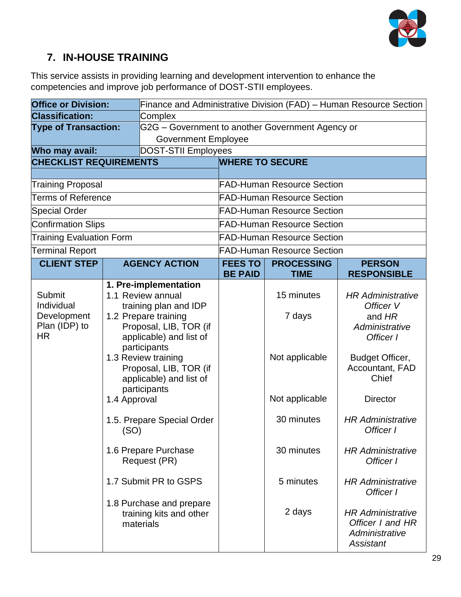

## **7. IN-HOUSE TRAINING**

This service assists in providing learning and development intervention to enhance the competencies and improve job performance of DOST-STII employees.

| <b>Office or Division:</b>                |                                                                                          | Finance and Administrative Division (FAD) - Human Resource Section        |                                   |                                   |                                                                             |                                       |                                             |
|-------------------------------------------|------------------------------------------------------------------------------------------|---------------------------------------------------------------------------|-----------------------------------|-----------------------------------|-----------------------------------------------------------------------------|---------------------------------------|---------------------------------------------|
| <b>Classification:</b>                    |                                                                                          | Complex                                                                   |                                   |                                   |                                                                             |                                       |                                             |
| <b>Type of Transaction:</b>               |                                                                                          | G2G - Government to another Government Agency or                          |                                   |                                   |                                                                             |                                       |                                             |
|                                           |                                                                                          | <b>Government Employee</b>                                                |                                   |                                   |                                                                             |                                       |                                             |
| Who may avail:                            |                                                                                          | <b>DOST-STII Employees</b>                                                |                                   |                                   |                                                                             |                                       |                                             |
| <b>CHECKLIST REQUIREMENTS</b>             |                                                                                          |                                                                           | <b>WHERE TO SECURE</b>            |                                   |                                                                             |                                       |                                             |
| <b>Training Proposal</b>                  |                                                                                          |                                                                           | <b>FAD-Human Resource Section</b> |                                   |                                                                             |                                       |                                             |
| <b>Terms of Reference</b>                 |                                                                                          |                                                                           | <b>FAD-Human Resource Section</b> |                                   |                                                                             |                                       |                                             |
|                                           |                                                                                          |                                                                           |                                   | <b>FAD-Human Resource Section</b> |                                                                             |                                       |                                             |
| <b>Special Order</b>                      |                                                                                          |                                                                           |                                   |                                   |                                                                             |                                       |                                             |
| <b>Confirmation Slips</b>                 |                                                                                          |                                                                           |                                   | <b>FAD-Human Resource Section</b> |                                                                             |                                       |                                             |
| <b>Training Evaluation Form</b>           |                                                                                          |                                                                           |                                   | <b>FAD-Human Resource Section</b> |                                                                             |                                       |                                             |
| <b>Terminal Report</b>                    |                                                                                          |                                                                           |                                   | <b>FAD-Human Resource Section</b> |                                                                             |                                       |                                             |
| <b>CLIENT STEP</b>                        |                                                                                          | <b>AGENCY ACTION</b>                                                      | <b>FEES TO</b>                    | <b>PROCESSING</b><br><b>TIME</b>  | <b>PERSON</b>                                                               |                                       |                                             |
|                                           |                                                                                          |                                                                           | <b>BE PAID</b>                    |                                   | <b>RESPONSIBLE</b>                                                          |                                       |                                             |
| Submit<br>Individual                      |                                                                                          | 1. Pre-implementation<br>1.1 Review annual<br>training plan and IDP       |                                   | 15 minutes                        | <b>HR Administrative</b><br>Officer V                                       |                                       |                                             |
| Development<br>Plan (IDP) to<br><b>HR</b> |                                                                                          | 1.2 Prepare training<br>Proposal, LIB, TOR (if<br>applicable) and list of |                                   | 7 days                            | and HR<br>Administrative<br>Officer I                                       |                                       |                                             |
|                                           | 1.3 Review training<br>Proposal, LIB, TOR (if<br>applicable) and list of<br>participants | participants                                                              |                                   |                                   |                                                                             | Not applicable                        | Budget Officer,<br>Accountant, FAD<br>Chief |
|                                           | 1.4 Approval                                                                             |                                                                           |                                   | Not applicable                    | <b>Director</b>                                                             |                                       |                                             |
|                                           | (SO)                                                                                     | 1.5. Prepare Special Order                                                |                                   |                                   | 30 minutes                                                                  | <b>HR Administrative</b><br>Officer I |                                             |
|                                           |                                                                                          | 1.6 Prepare Purchase<br>Request (PR)                                      |                                   | 30 minutes                        | <b>HR Administrative</b><br>Officer I                                       |                                       |                                             |
|                                           |                                                                                          | 1.7 Submit PR to GSPS                                                     |                                   | 5 minutes                         | <b>HR Administrative</b><br>Officer I                                       |                                       |                                             |
|                                           |                                                                                          | 1.8 Purchase and prepare<br>training kits and other<br>materials          |                                   | 2 days                            | <b>HR Administrative</b><br>Officer I and HR<br>Administrative<br>Assistant |                                       |                                             |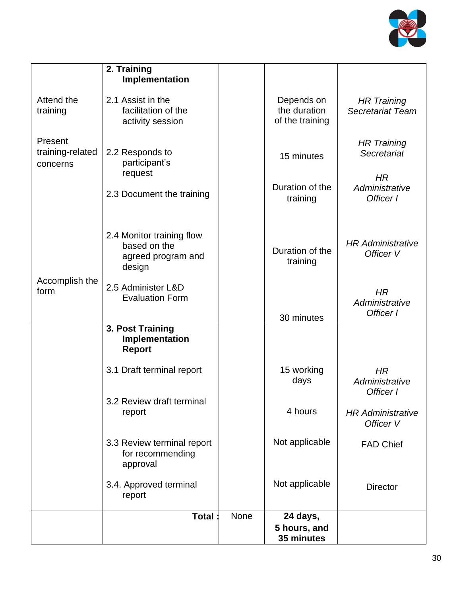

|                                         | 2. Training<br>Implementation                                             |      |                                               |                                               |
|-----------------------------------------|---------------------------------------------------------------------------|------|-----------------------------------------------|-----------------------------------------------|
| Attend the<br>training                  | 2.1 Assist in the<br>facilitation of the<br>activity session              |      | Depends on<br>the duration<br>of the training | <b>HR Training</b><br><b>Secretariat Team</b> |
| Present<br>training-related<br>concerns | 2.2 Responds to<br>participant's                                          |      | 15 minutes                                    | <b>HR Training</b><br>Secretariat             |
|                                         | request<br>2.3 Document the training                                      |      | Duration of the<br>training                   | HR<br>Administrative<br>Officer I             |
|                                         | 2.4 Monitor training flow<br>based on the<br>agreed program and<br>design |      | Duration of the<br>training                   | <b>HR Administrative</b><br>Officer V         |
| Accomplish the<br>form                  | 2.5 Administer L&D<br><b>Evaluation Form</b>                              |      | 30 minutes                                    | HR<br>Administrative<br>Officer I             |
|                                         | 3. Post Training<br>Implementation<br><b>Report</b>                       |      |                                               |                                               |
|                                         | 3.1 Draft terminal report                                                 |      | 15 working<br>days                            | HR<br>Administrative<br>Officer I             |
|                                         | 3.2 Review draft terminal<br>report                                       |      | 4 hours                                       | <b>HR Administrative</b><br>Officer V         |
|                                         | 3.3 Review terminal report<br>for recommending<br>approval                |      | Not applicable                                | <b>FAD Chief</b>                              |
|                                         | 3.4. Approved terminal<br>report                                          |      | Not applicable                                | <b>Director</b>                               |
|                                         | <b>Total</b>                                                              | None | 24 days,<br>5 hours, and<br>35 minutes        |                                               |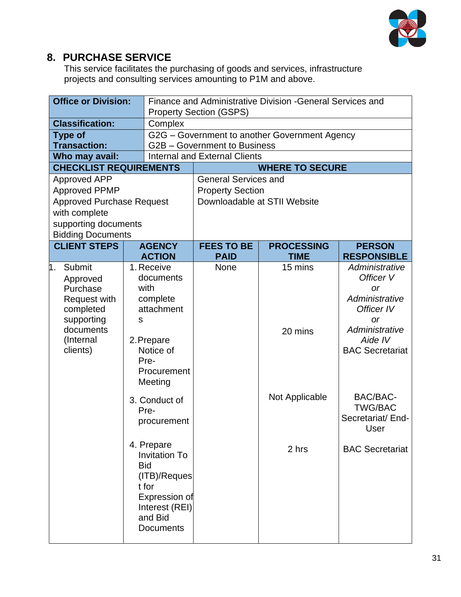

#### **8. PURCHASE SERVICE**

This service facilitates the purchasing of goods and services, infrastructure projects and consulting services amounting to P1M and above.

| <b>Office or Division:</b>            |   | Finance and Administrative Division - General Services and<br><b>Property Section (GSPS)</b> |                                                                      |                                               |                             |
|---------------------------------------|---|----------------------------------------------------------------------------------------------|----------------------------------------------------------------------|-----------------------------------------------|-----------------------------|
|                                       |   |                                                                                              |                                                                      |                                               |                             |
| <b>Classification:</b>                |   | Complex                                                                                      |                                                                      |                                               |                             |
| <b>Type of</b>                        |   |                                                                                              |                                                                      | G2G – Government to another Government Agency |                             |
| <b>Transaction:</b><br>Who may avail: |   |                                                                                              | G2B - Government to Business<br><b>Internal and External Clients</b> |                                               |                             |
| <b>CHECKLIST REQUIREMENTS</b>         |   |                                                                                              |                                                                      | <b>WHERE TO SECURE</b>                        |                             |
| <b>Approved APP</b>                   |   |                                                                                              | <b>General Services and</b>                                          |                                               |                             |
| <b>Approved PPMP</b>                  |   |                                                                                              | <b>Property Section</b>                                              |                                               |                             |
| <b>Approved Purchase Request</b>      |   |                                                                                              | Downloadable at STII Website                                         |                                               |                             |
| with complete                         |   |                                                                                              |                                                                      |                                               |                             |
| supporting documents                  |   |                                                                                              |                                                                      |                                               |                             |
| <b>Bidding Documents</b>              |   |                                                                                              |                                                                      |                                               |                             |
| <b>CLIENT STEPS</b>                   |   | <b>AGENCY</b>                                                                                | <b>FEES TO BE</b>                                                    | <b>PROCESSING</b>                             | <b>PERSON</b>               |
|                                       |   | <b>ACTION</b>                                                                                | <b>PAID</b>                                                          | <b>TIME</b>                                   | <b>RESPONSIBLE</b>          |
| Submit<br>1.                          |   | 1. Receive                                                                                   | None                                                                 | 15 mins                                       | Administrative              |
| Approved                              |   | documents                                                                                    |                                                                      |                                               | Officer V                   |
| Purchase                              |   | with                                                                                         |                                                                      |                                               | <b>or</b><br>Administrative |
| Request with<br>completed             |   | complete<br>attachment                                                                       |                                                                      |                                               | Officer IV                  |
| supporting                            | S |                                                                                              |                                                                      |                                               | or                          |
| documents                             |   |                                                                                              |                                                                      | 20 mins                                       | Administrative              |
| (Internal                             |   | 2. Prepare                                                                                   |                                                                      |                                               | Aide IV                     |
| clients)                              |   | Notice of                                                                                    |                                                                      |                                               | <b>BAC Secretariat</b>      |
|                                       |   | Pre-                                                                                         |                                                                      |                                               |                             |
|                                       |   | Procurement                                                                                  |                                                                      |                                               |                             |
|                                       |   | Meeting                                                                                      |                                                                      |                                               |                             |
|                                       |   | 3. Conduct of                                                                                |                                                                      | Not Applicable                                | BAC/BAC-                    |
|                                       |   | Pre-                                                                                         |                                                                      |                                               | <b>TWG/BAC</b>              |
|                                       |   | procurement                                                                                  |                                                                      |                                               | Secretariat/ End-           |
|                                       |   |                                                                                              |                                                                      |                                               | User                        |
|                                       |   | 4. Prepare                                                                                   |                                                                      | 2 hrs                                         | <b>BAC Secretariat</b>      |
|                                       |   | <b>Invitation To</b>                                                                         |                                                                      |                                               |                             |
|                                       |   | <b>Bid</b>                                                                                   |                                                                      |                                               |                             |
|                                       |   | (ITB)/Reques<br>t for                                                                        |                                                                      |                                               |                             |
|                                       |   | Expression of                                                                                |                                                                      |                                               |                             |
|                                       |   | Interest (REI)                                                                               |                                                                      |                                               |                             |
|                                       |   | and Bid                                                                                      |                                                                      |                                               |                             |
|                                       |   | <b>Documents</b>                                                                             |                                                                      |                                               |                             |
|                                       |   |                                                                                              |                                                                      |                                               |                             |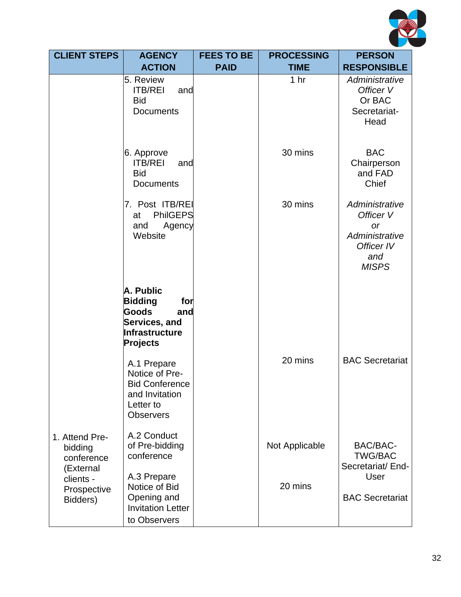

| <b>CLIENT STEPS</b>                             | <b>AGENCY</b><br><b>FEES TO BE</b>                                                                                                                          |             | <b>PROCESSING</b> | <b>PERSON</b>                                                                                   |
|-------------------------------------------------|-------------------------------------------------------------------------------------------------------------------------------------------------------------|-------------|-------------------|-------------------------------------------------------------------------------------------------|
|                                                 | <b>ACTION</b>                                                                                                                                               | <b>PAID</b> | <b>TIME</b>       | <b>RESPONSIBLE</b>                                                                              |
|                                                 | 5. Review<br><b>ITB/REI</b><br>and<br><b>Bid</b><br><b>Documents</b>                                                                                        |             | 1 <sub>hr</sub>   | Administrative<br>Officer V<br>Or BAC<br>Secretariat-<br>Head                                   |
|                                                 | 6. Approve<br><b>ITB/REI</b><br>and<br><b>Bid</b><br><b>Documents</b>                                                                                       |             | 30 mins           | <b>BAC</b><br>Chairperson<br>and FAD<br>Chief                                                   |
|                                                 | 7. Post ITB/REI<br><b>PhilGEPS</b><br>at<br>Agency<br>and<br>Website                                                                                        |             | 30 mins           | Administrative<br>Officer V<br><b>or</b><br>Administrative<br>Officer IV<br>and<br><b>MISPS</b> |
|                                                 | A. Public<br><b>Bidding</b><br>for<br>Goods<br>and<br>Services, and<br>Infrastructure<br>Projects<br>A.1 Prepare<br>Notice of Pre-<br><b>Bid Conference</b> |             | 20 mins           | <b>BAC Secretariat</b>                                                                          |
| 1. Attend Pre-                                  | and Invitation<br>Letter to<br><b>Observers</b><br>A.2 Conduct                                                                                              |             |                   |                                                                                                 |
| bidding<br>conference<br>(External<br>clients - | of Pre-bidding<br>conference<br>A.3 Prepare                                                                                                                 |             | Not Applicable    | BAC/BAC-<br><b>TWG/BAC</b><br>Secretariat/ End-<br>User                                         |
| Prospective<br>Bidders)                         | Notice of Bid<br>Opening and<br><b>Invitation Letter</b><br>to Observers                                                                                    |             | 20 mins           | <b>BAC Secretariat</b>                                                                          |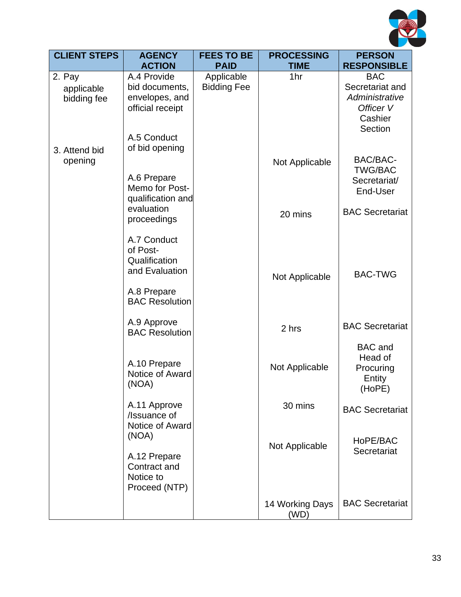

| <b>CLIENT STEPS</b>                 | <b>AGENCY</b>                                                       | <b>FEES TO BE</b><br><b>PROCESSING</b> |                         | <b>PERSON</b>                                                           |
|-------------------------------------|---------------------------------------------------------------------|----------------------------------------|-------------------------|-------------------------------------------------------------------------|
|                                     | <b>ACTION</b>                                                       | <b>PAID</b>                            | <b>TIME</b>             | <b>RESPONSIBLE</b>                                                      |
| 2. Pay<br>applicable<br>bidding fee | A.4 Provide<br>bid documents,<br>envelopes, and<br>official receipt | Applicable<br><b>Bidding Fee</b>       | 1hr                     | <b>BAC</b><br>Secretariat and<br>Administrative<br>Officer V<br>Cashier |
| 3. Attend bid<br>opening            | A.5 Conduct<br>of bid opening                                       |                                        | Not Applicable          | Section<br>BAC/BAC-<br><b>TWG/BAC</b>                                   |
|                                     | A.6 Prepare<br>Memo for Post-<br>qualification and<br>evaluation    |                                        |                         | Secretariat/<br>End-User                                                |
|                                     | proceedings                                                         |                                        | 20 mins                 | <b>BAC Secretariat</b>                                                  |
|                                     | A.7 Conduct<br>of Post-<br>Qualification<br>and Evaluation          |                                        | Not Applicable          | <b>BAC-TWG</b>                                                          |
|                                     | A.8 Prepare<br><b>BAC Resolution</b>                                |                                        |                         |                                                                         |
|                                     | A.9 Approve<br><b>BAC Resolution</b>                                |                                        | 2 hrs                   | <b>BAC Secretariat</b>                                                  |
|                                     | A.10 Prepare<br>Notice of Award<br>(NOA)                            |                                        | Not Applicable          | <b>BAC</b> and<br>Head of<br>Procuring<br>Entity<br>(HoPE)              |
|                                     | A.11 Approve<br>/Issuance of<br>Notice of Award                     |                                        | 30 mins                 | <b>BAC Secretariat</b>                                                  |
|                                     | (NOA)<br>A.12 Prepare<br>Contract and<br>Notice to                  |                                        | Not Applicable          | HoPE/BAC<br>Secretariat                                                 |
|                                     | Proceed (NTP)                                                       |                                        | 14 Working Days<br>(WD) | <b>BAC Secretariat</b>                                                  |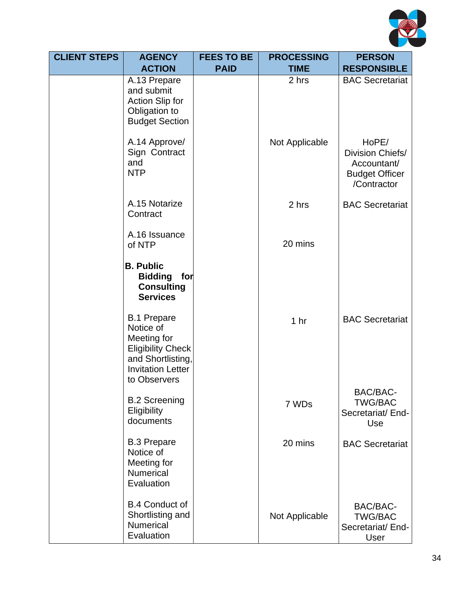

| <b>CLIENT STEPS</b> | <b>AGENCY</b>                                                                                                         | <b>FEES TO BE</b><br><b>PROCESSING</b> |                 | <b>PERSON</b>                                                                    |
|---------------------|-----------------------------------------------------------------------------------------------------------------------|----------------------------------------|-----------------|----------------------------------------------------------------------------------|
|                     | <b>ACTION</b>                                                                                                         | <b>PAID</b>                            | <b>TIME</b>     | <b>RESPONSIBLE</b>                                                               |
|                     | A.13 Prepare<br>and submit<br><b>Action Slip for</b><br>Obligation to<br><b>Budget Section</b>                        |                                        | 2 hrs           | <b>BAC Secretariat</b>                                                           |
|                     | A.14 Approve/<br>Sign Contract<br>and<br><b>NTP</b>                                                                   |                                        | Not Applicable  | HoPE/<br>Division Chiefs/<br>Accountant/<br><b>Budget Officer</b><br>/Contractor |
|                     | A.15 Notarize<br>Contract                                                                                             |                                        | 2 hrs           | <b>BAC Secretariat</b>                                                           |
|                     | A.16 Issuance<br>of NTP                                                                                               |                                        | 20 mins         |                                                                                  |
|                     | <b>B. Public</b><br><b>Bidding</b><br>for<br><b>Consulting</b><br><b>Services</b><br><b>B.1 Prepare</b>               |                                        |                 | <b>BAC Secretariat</b>                                                           |
|                     | Notice of<br>Meeting for<br><b>Eligibility Check</b><br>and Shortlisting,<br><b>Invitation Letter</b><br>to Observers |                                        | 1 <sub>hr</sub> |                                                                                  |
|                     | <b>B.2 Screening</b><br>Eligibility<br>documents                                                                      |                                        | 7 WDs           | BAC/BAC-<br><b>TWG/BAC</b><br>Secretariat/ End-<br>Use                           |
|                     | <b>B.3 Prepare</b><br>Notice of<br>Meeting for<br>Numerical<br>Evaluation                                             |                                        | 20 mins         | <b>BAC Secretariat</b>                                                           |
|                     | <b>B.4 Conduct of</b><br>Shortlisting and<br>Numerical<br>Evaluation                                                  |                                        | Not Applicable  | BAC/BAC-<br><b>TWG/BAC</b><br>Secretariat/ End-<br>User                          |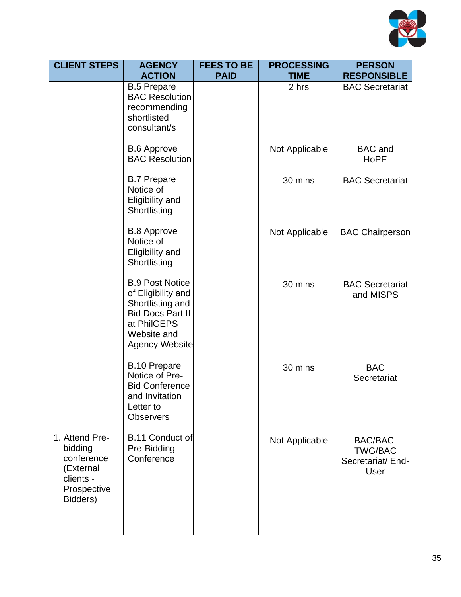

| <b>CLIENT STEPS</b>                                                                          | <b>AGENCY</b>                                                                                                                                      | <b>FEES TO BE</b> | <b>PROCESSING</b> | <b>PERSON</b>                                                  |
|----------------------------------------------------------------------------------------------|----------------------------------------------------------------------------------------------------------------------------------------------------|-------------------|-------------------|----------------------------------------------------------------|
|                                                                                              | <b>ACTION</b>                                                                                                                                      | <b>PAID</b>       | <b>TIME</b>       | <b>RESPONSIBLE</b>                                             |
|                                                                                              | <b>B.5 Prepare</b><br><b>BAC Resolution</b><br>recommending<br>shortlisted<br>consultant/s                                                         |                   | 2 hrs             | <b>BAC Secretariat</b>                                         |
|                                                                                              | <b>B.6 Approve</b><br><b>BAC Resolution</b>                                                                                                        |                   | Not Applicable    | <b>BAC</b> and<br><b>HoPE</b>                                  |
|                                                                                              | <b>B.7 Prepare</b><br>Notice of<br>Eligibility and<br>Shortlisting                                                                                 |                   | 30 mins           | <b>BAC Secretariat</b>                                         |
|                                                                                              | <b>B.8 Approve</b><br>Notice of<br>Eligibility and<br>Shortlisting                                                                                 |                   | Not Applicable    | <b>BAC Chairperson</b>                                         |
|                                                                                              | <b>B.9 Post Notice</b><br>of Eligibility and<br>Shortlisting and<br><b>Bid Docs Part II</b><br>at PhilGEPS<br>Website and<br><b>Agency Website</b> |                   | 30 mins           | <b>BAC Secretariat</b><br>and MISPS                            |
|                                                                                              | <b>B.10 Prepare</b><br>Notice of Pre-<br><b>Bid Conference</b><br>and Invitation<br>Letter to<br><b>Observers</b>                                  |                   | 30 mins           | <b>BAC</b><br>Secretariat                                      |
| 1. Attend Pre-<br>bidding<br>conference<br>(External<br>clients -<br>Prospective<br>Bidders) | B.11 Conduct of<br>Pre-Bidding<br>Conference                                                                                                       |                   | Not Applicable    | BAC/BAC-<br><b>TWG/BAC</b><br>Secretariat/ End-<br><b>User</b> |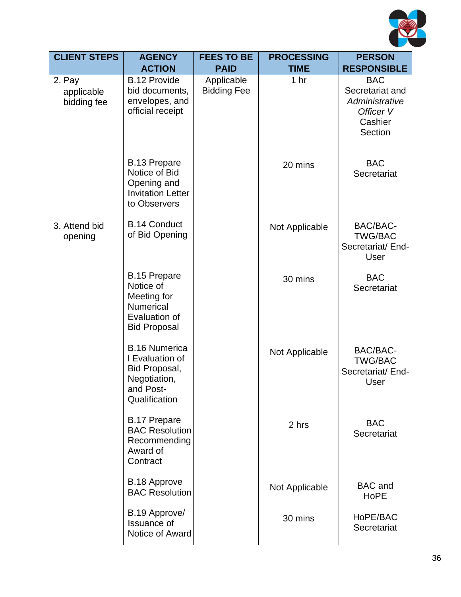

| <b>CLIENT STEPS</b>                 | <b>AGENCY</b>                                                                                          | <b>FEES TO BE</b>                | <b>PROCESSING</b> | <b>PERSON</b>                                                                      |
|-------------------------------------|--------------------------------------------------------------------------------------------------------|----------------------------------|-------------------|------------------------------------------------------------------------------------|
|                                     | <b>ACTION</b>                                                                                          | <b>PAID</b>                      | <b>TIME</b>       | <b>RESPONSIBLE</b>                                                                 |
| 2. Pay<br>applicable<br>bidding fee | <b>B.12 Provide</b><br>bid documents,<br>envelopes, and<br>official receipt                            | Applicable<br><b>Bidding Fee</b> | 1 <sub>hr</sub>   | <b>BAC</b><br>Secretariat and<br>Administrative<br>Officer V<br>Cashier<br>Section |
|                                     | <b>B.13 Prepare</b><br>Notice of Bid<br>Opening and<br><b>Invitation Letter</b><br>to Observers        |                                  | 20 mins           | <b>BAC</b><br>Secretariat                                                          |
| 3. Attend bid<br>opening            | <b>B.14 Conduct</b><br>of Bid Opening                                                                  |                                  | Not Applicable    | BAC/BAC-<br><b>TWG/BAC</b><br>Secretariat/ End-<br>User                            |
|                                     | <b>B.15 Prepare</b><br>Notice of<br>Meeting for<br>Numerical<br>Evaluation of<br><b>Bid Proposal</b>   |                                  | 30 mins           | <b>BAC</b><br>Secretariat                                                          |
|                                     | <b>B.16 Numerica</b><br>I Evaluation of<br>Bid Proposal,<br>Negotiation,<br>and Post-<br>Qualification |                                  | Not Applicable    | BAC/BAC-<br><b>TWG/BAC</b><br>Secretariat/ End-<br>User                            |
|                                     | <b>B.17 Prepare</b><br><b>BAC Resolution</b><br>Recommending<br>Award of<br>Contract                   |                                  | 2 hrs             | <b>BAC</b><br>Secretariat                                                          |
|                                     | <b>B.18 Approve</b><br><b>BAC Resolution</b>                                                           |                                  | Not Applicable    | <b>BAC</b> and<br><b>HoPE</b>                                                      |
|                                     | B.19 Approve/<br><b>Issuance of</b><br>Notice of Award                                                 |                                  | 30 mins           | HoPE/BAC<br>Secretariat                                                            |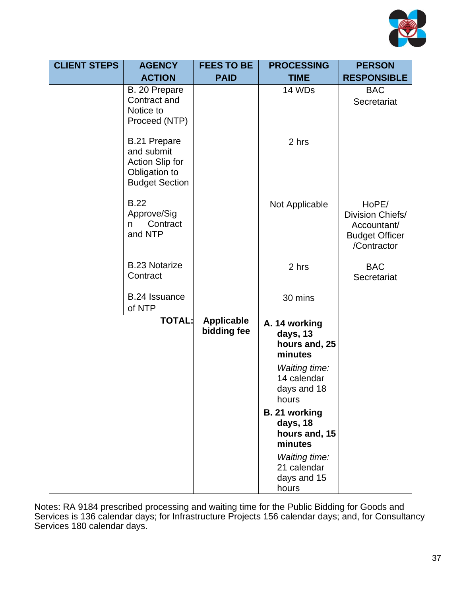

| <b>CLIENT STEPS</b> | <b>AGENCY</b>                                                                           | <b>FEES TO BE</b>                | <b>PROCESSING</b>                                           | <b>PERSON</b>                                                                    |
|---------------------|-----------------------------------------------------------------------------------------|----------------------------------|-------------------------------------------------------------|----------------------------------------------------------------------------------|
|                     | <b>ACTION</b>                                                                           | <b>PAID</b>                      | <b>TIME</b>                                                 | <b>RESPONSIBLE</b>                                                               |
|                     | B. 20 Prepare<br>Contract and<br>Notice to<br>Proceed (NTP)                             |                                  | 14 WDs                                                      | <b>BAC</b><br>Secretariat                                                        |
|                     | B.21 Prepare<br>and submit<br>Action Slip for<br>Obligation to<br><b>Budget Section</b> |                                  | 2 hrs                                                       |                                                                                  |
|                     | <b>B.22</b><br>Approve/Sig<br>Contract<br>n.<br>and NTP                                 |                                  | Not Applicable                                              | HoPE/<br>Division Chiefs/<br>Accountant/<br><b>Budget Officer</b><br>/Contractor |
|                     | <b>B.23 Notarize</b><br>Contract                                                        |                                  | 2 hrs                                                       | <b>BAC</b><br>Secretariat                                                        |
|                     | B.24 Issuance<br>of NTP                                                                 |                                  | 30 mins                                                     |                                                                                  |
|                     | <b>TOTAL:</b>                                                                           | <b>Applicable</b><br>bidding fee | A. 14 working<br>days, 13<br>hours and, 25<br>minutes       |                                                                                  |
|                     |                                                                                         |                                  | <b>Waiting time:</b><br>14 calendar<br>days and 18<br>hours |                                                                                  |
|                     |                                                                                         |                                  | B. 21 working<br>days, 18<br>hours and, 15<br>minutes       |                                                                                  |
|                     |                                                                                         |                                  | <b>Waiting time:</b><br>21 calendar<br>days and 15<br>hours |                                                                                  |

Notes: RA 9184 prescribed processing and waiting time for the Public Bidding for Goods and Services is 136 calendar days; for Infrastructure Projects 156 calendar days; and, for Consultancy Services 180 calendar days.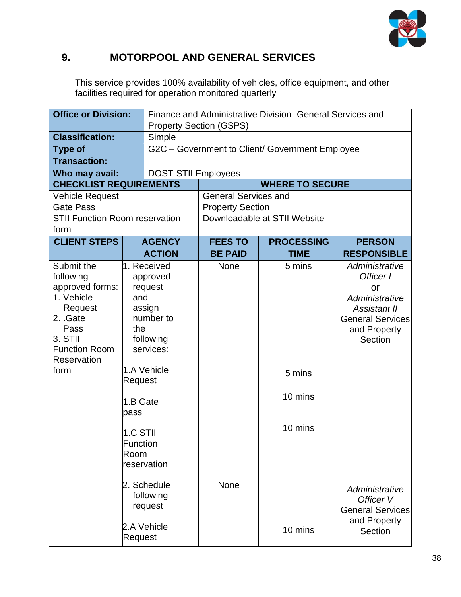

### **9. MOTORPOOL AND GENERAL SERVICES**

This service provides 100% availability of vehicles, office equipment, and other facilities required for operation monitored quarterly

|                                                                                                                                                  | Finance and Administrative Division - General Services and<br><b>Office or Division:</b><br><b>Property Section (GSPS)</b> |                                                                                                                   |                             |                                                 |                                                                                                                                  |  |
|--------------------------------------------------------------------------------------------------------------------------------------------------|----------------------------------------------------------------------------------------------------------------------------|-------------------------------------------------------------------------------------------------------------------|-----------------------------|-------------------------------------------------|----------------------------------------------------------------------------------------------------------------------------------|--|
| <b>Classification:</b>                                                                                                                           |                                                                                                                            | Simple                                                                                                            |                             |                                                 |                                                                                                                                  |  |
| <b>Type of</b><br><b>Transaction:</b>                                                                                                            |                                                                                                                            |                                                                                                                   |                             | G2C - Government to Client/ Government Employee |                                                                                                                                  |  |
|                                                                                                                                                  |                                                                                                                            |                                                                                                                   | <b>DOST-STII Employees</b>  |                                                 |                                                                                                                                  |  |
| Who may avail:<br><b>CHECKLIST REQUIREMENTS</b>                                                                                                  |                                                                                                                            |                                                                                                                   |                             | <b>WHERE TO SECURE</b>                          |                                                                                                                                  |  |
| <b>Vehicle Request</b>                                                                                                                           |                                                                                                                            |                                                                                                                   | <b>General Services and</b> |                                                 |                                                                                                                                  |  |
| Gate Pass                                                                                                                                        |                                                                                                                            |                                                                                                                   | <b>Property Section</b>     |                                                 |                                                                                                                                  |  |
| <b>STII Function Room reservation</b><br>form                                                                                                    |                                                                                                                            |                                                                                                                   |                             | Downloadable at STII Website                    |                                                                                                                                  |  |
| <b>CLIENT STEPS</b>                                                                                                                              |                                                                                                                            | <b>AGENCY</b>                                                                                                     | <b>FEES TO</b>              | <b>PROCESSING</b>                               | <b>PERSON</b>                                                                                                                    |  |
|                                                                                                                                                  |                                                                                                                            | <b>ACTION</b>                                                                                                     | <b>BE PAID</b>              | <b>TIME</b>                                     | <b>RESPONSIBLE</b>                                                                                                               |  |
| Submit the<br>following<br>approved forms:<br>1. Vehicle<br>Request<br>2. Gate<br>Pass<br>3. STII<br><b>Function Room</b><br>Reservation<br>form | and<br>the<br>Request<br>1.B Gate<br>pass<br>1.C STII<br>Function<br>Room                                                  | 1. Received<br>approved<br>request<br>assign<br>number to<br>following<br>services:<br>1.A Vehicle<br>reservation | None                        | 5 mins<br>5 mins<br>10 mins<br>10 mins          | Administrative<br>Officer I<br>or<br>Administrative<br><b>Assistant II</b><br><b>General Services</b><br>and Property<br>Section |  |
|                                                                                                                                                  | 2. Schedule<br>following<br>request<br>2.A Vehicle<br>Request                                                              |                                                                                                                   | <b>None</b>                 | 10 mins                                         | Administrative<br>Officer V<br><b>General Services</b><br>and Property<br>Section                                                |  |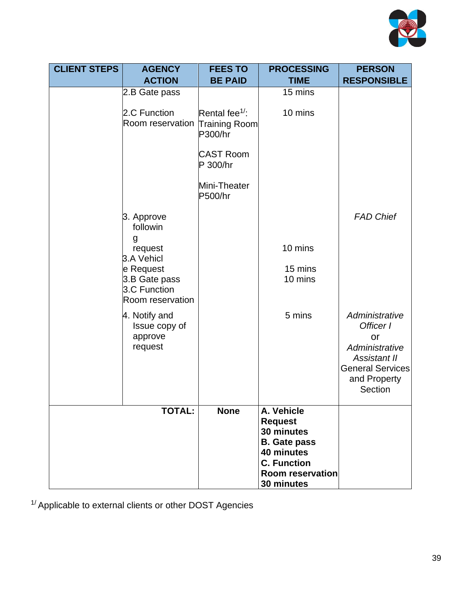

| <b>CLIENT STEPS</b> | <b>AGENCY</b>                                        | <b>FEES TO</b>                               | <b>PROCESSING</b>                     | <b>PERSON</b>                                                                                                                    |
|---------------------|------------------------------------------------------|----------------------------------------------|---------------------------------------|----------------------------------------------------------------------------------------------------------------------------------|
|                     | <b>ACTION</b>                                        | <b>BE PAID</b>                               | <b>TIME</b>                           | <b>RESPONSIBLE</b>                                                                                                               |
|                     | 2.B Gate pass                                        |                                              | 15 mins                               |                                                                                                                                  |
|                     | 2.C Function<br>Room reservation                     | Rental fee $1$ :<br>Training Room<br>P300/hr | 10 mins                               |                                                                                                                                  |
|                     |                                                      | <b>CAST Room</b><br>P 300/hr                 |                                       |                                                                                                                                  |
|                     |                                                      | Mini-Theater<br>P500/hr                      |                                       |                                                                                                                                  |
|                     | 3. Approve<br>followin                               |                                              |                                       | <b>FAD Chief</b>                                                                                                                 |
|                     | g<br>request<br>3.A Vehicl                           |                                              | 10 mins                               |                                                                                                                                  |
|                     | e Request                                            |                                              | 15 mins                               |                                                                                                                                  |
|                     | 3.B Gate pass<br>3.C Function<br>Room reservation    |                                              | 10 mins                               |                                                                                                                                  |
|                     | 4. Notify and<br>Issue copy of<br>approve<br>request |                                              | 5 mins                                | Administrative<br>Officer I<br>or<br>Administrative<br><b>Assistant II</b><br><b>General Services</b><br>and Property<br>Section |
|                     | <b>TOTAL:</b>                                        | <b>None</b>                                  | A. Vehicle                            |                                                                                                                                  |
|                     |                                                      |                                              | <b>Request</b>                        |                                                                                                                                  |
|                     |                                                      |                                              | 30 minutes<br><b>B.</b> Gate pass     |                                                                                                                                  |
|                     |                                                      |                                              | 40 minutes                            |                                                                                                                                  |
|                     |                                                      |                                              | <b>C. Function</b>                    |                                                                                                                                  |
|                     |                                                      |                                              | <b>Room reservation</b><br>30 minutes |                                                                                                                                  |
|                     |                                                      |                                              |                                       |                                                                                                                                  |

 $1/$  Applicable to external clients or other DOST Agencies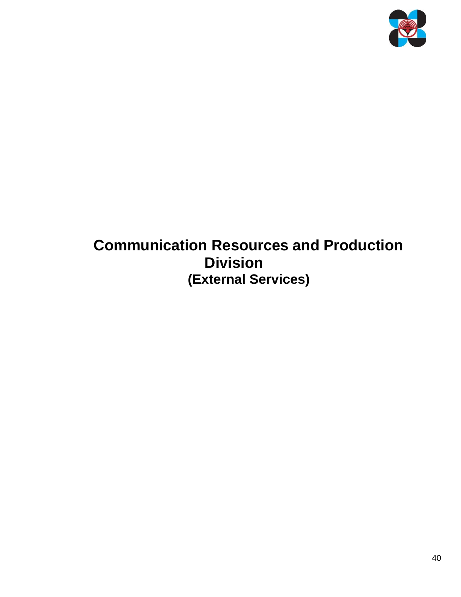

# **Communication Resources and Production Division (External Services)**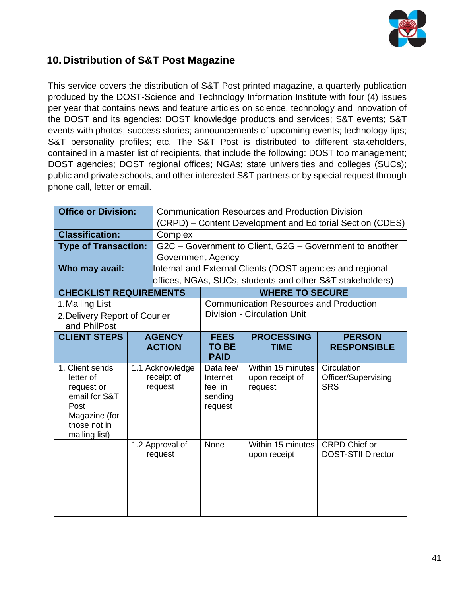

#### **10.Distribution of S&T Post Magazine**

This service covers the distribution of S&T Post printed magazine, a quarterly publication produced by the DOST-Science and Technology Information Institute with four (4) issues per year that contains news and feature articles on science, technology and innovation of the DOST and its agencies; DOST knowledge products and services; S&T events; S&T events with photos; success stories; announcements of upcoming events; technology tips; S&T personality profiles; etc. The S&T Post is distributed to different stakeholders, contained in a master list of recipients, that include the following: DOST top management; DOST agencies; DOST regional offices; NGAs; state universities and colleges (SUCs); public and private schools, and other interested S&T partners or by special request through phone call, letter or email.

|                                                                                                                       | <b>Office or Division:</b><br><b>Communication Resources and Production Division</b><br>(CRPD) – Content Development and Editorial Section (CDES) |                                          |                                                       |                                                           |                                                           |
|-----------------------------------------------------------------------------------------------------------------------|---------------------------------------------------------------------------------------------------------------------------------------------------|------------------------------------------|-------------------------------------------------------|-----------------------------------------------------------|-----------------------------------------------------------|
| <b>Classification:</b>                                                                                                |                                                                                                                                                   | Complex                                  |                                                       |                                                           |                                                           |
| <b>Type of Transaction:</b>                                                                                           |                                                                                                                                                   |                                          |                                                       |                                                           | G2C - Government to Client, G2G - Government to another   |
|                                                                                                                       |                                                                                                                                                   | <b>Government Agency</b>                 |                                                       |                                                           |                                                           |
| Who may avail:                                                                                                        |                                                                                                                                                   |                                          |                                                       | Internal and External Clients (DOST agencies and regional |                                                           |
|                                                                                                                       |                                                                                                                                                   |                                          |                                                       |                                                           | offices, NGAs, SUCs, students and other S&T stakeholders) |
| <b>CHECKLIST REQUIREMENTS</b>                                                                                         |                                                                                                                                                   |                                          |                                                       | <b>WHERE TO SECURE</b>                                    |                                                           |
| 1. Mailing List                                                                                                       |                                                                                                                                                   |                                          |                                                       | <b>Communication Resources and Production</b>             |                                                           |
| 2. Delivery Report of Courier                                                                                         |                                                                                                                                                   |                                          |                                                       | <b>Division - Circulation Unit</b>                        |                                                           |
| and PhilPost                                                                                                          |                                                                                                                                                   |                                          |                                                       |                                                           |                                                           |
| <b>CLIENT STEPS</b>                                                                                                   |                                                                                                                                                   | <b>AGENCY</b><br><b>ACTION</b>           | <b>FEES</b><br><b>TO BE</b>                           | <b>PROCESSING</b><br><b>TIME</b>                          | <b>PERSON</b><br><b>RESPONSIBLE</b>                       |
|                                                                                                                       |                                                                                                                                                   |                                          | <b>PAID</b>                                           |                                                           |                                                           |
| 1. Client sends<br>letter of<br>request or<br>email for S&T<br>Post<br>Magazine (for<br>those not in<br>mailing list) |                                                                                                                                                   | 1.1 Acknowledge<br>receipt of<br>request | Data fee/<br>Internet<br>fee in<br>sending<br>request | Within 15 minutes<br>upon receipt of<br>request           | Circulation<br>Officer/Supervising<br><b>SRS</b>          |
|                                                                                                                       |                                                                                                                                                   | 1.2 Approval of<br>request               | None                                                  | Within 15 minutes<br>upon receipt                         | <b>CRPD Chief or</b><br><b>DOST-STII Director</b>         |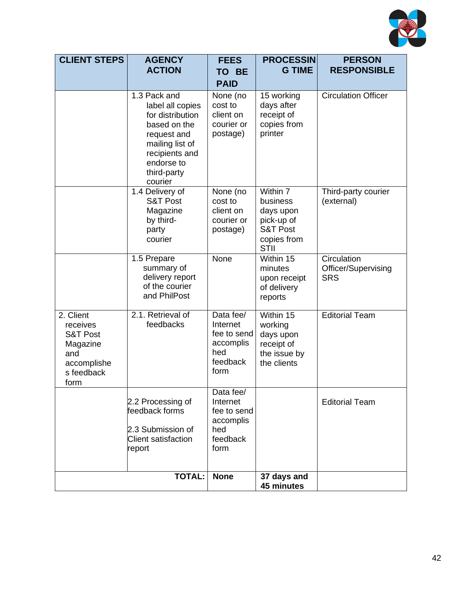

| <b>CLIENT STEPS</b>                                                                                  | <b>AGENCY</b>                                                                                                                                                    | <b>FEES</b>                                                                  | <b>PROCESSIN</b>                                                                                     | <b>PERSON</b><br><b>RESPONSIBLE</b>              |  |
|------------------------------------------------------------------------------------------------------|------------------------------------------------------------------------------------------------------------------------------------------------------------------|------------------------------------------------------------------------------|------------------------------------------------------------------------------------------------------|--------------------------------------------------|--|
|                                                                                                      | <b>ACTION</b>                                                                                                                                                    | TO BE<br><b>PAID</b>                                                         | <b>G TIME</b>                                                                                        |                                                  |  |
|                                                                                                      | 1.3 Pack and<br>label all copies<br>for distribution<br>based on the<br>request and<br>mailing list of<br>recipients and<br>endorse to<br>third-party<br>courier | None (no<br>cost to<br>client on<br>courier or<br>postage)                   | 15 working<br>days after<br>receipt of<br>copies from<br>printer                                     | <b>Circulation Officer</b>                       |  |
|                                                                                                      | 1.4 Delivery of<br><b>S&amp;T Post</b><br>Magazine<br>by third-<br>party<br>courier                                                                              | None (no<br>cost to<br>client on<br>courier or<br>postage)                   | Within 7<br>business<br>days upon<br>pick-up of<br><b>S&amp;T Post</b><br>copies from<br><b>STII</b> | Third-party courier<br>(external)                |  |
|                                                                                                      | 1.5 Prepare<br>summary of<br>delivery report<br>of the courier<br>and PhilPost                                                                                   | None                                                                         | Within 15<br>minutes<br>upon receipt<br>of delivery<br>reports                                       | Circulation<br>Officer/Supervising<br><b>SRS</b> |  |
| 2. Client<br>receives<br><b>S&amp;T Post</b><br>Magazine<br>and<br>accomplishe<br>s feedback<br>form | 2.1. Retrieval of<br>feedbacks                                                                                                                                   | Data fee/<br>Internet<br>fee to send<br>accomplis<br>hed<br>feedback<br>form | Within 15<br>working<br>days upon<br>receipt of<br>the issue by<br>the clients                       | <b>Editorial Team</b>                            |  |
|                                                                                                      | 2.2 Processing of<br>feedback forms<br>2.3 Submission of<br><b>Client satisfaction</b><br>report                                                                 | Data fee/<br>Internet<br>fee to send<br>accomplis<br>hed<br>feedback<br>form |                                                                                                      | <b>Editorial Team</b>                            |  |
|                                                                                                      | <b>TOTAL:</b>                                                                                                                                                    | <b>None</b>                                                                  | 37 days and<br>45 minutes                                                                            |                                                  |  |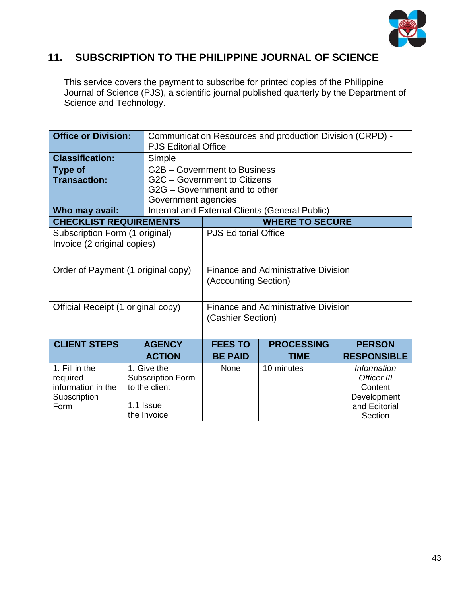

#### **11. SUBSCRIPTION TO THE PHILIPPINE JOURNAL OF SCIENCE**

This service covers the payment to subscribe for printed copies of the Philippine Journal of Science (PJS), a scientific journal published quarterly by the Department of Science and Technology.

| <b>Office or Division:</b>         |                             | Communication Resources and production Division (CRPD) - |                                                |                    |  |  |
|------------------------------------|-----------------------------|----------------------------------------------------------|------------------------------------------------|--------------------|--|--|
|                                    | <b>PJS Editorial Office</b> |                                                          |                                                |                    |  |  |
| <b>Classification:</b>             | Simple                      |                                                          |                                                |                    |  |  |
| <b>Type of</b>                     |                             | G2B - Government to Business                             |                                                |                    |  |  |
| <b>Transaction:</b>                |                             | G2C - Government to Citizens                             |                                                |                    |  |  |
|                                    |                             | G2G – Government and to other                            |                                                |                    |  |  |
|                                    | Government agencies         |                                                          |                                                |                    |  |  |
| Who may avail:                     |                             |                                                          | Internal and External Clients (General Public) |                    |  |  |
| <b>CHECKLIST REQUIREMENTS</b>      |                             | <b>WHERE TO SECURE</b>                                   |                                                |                    |  |  |
| Subscription Form (1 original)     |                             | <b>PJS Editorial Office</b>                              |                                                |                    |  |  |
| Invoice (2 original copies)        |                             |                                                          |                                                |                    |  |  |
|                                    |                             |                                                          |                                                |                    |  |  |
|                                    |                             |                                                          |                                                |                    |  |  |
| Order of Payment (1 original copy) |                             | <b>Finance and Administrative Division</b>               |                                                |                    |  |  |
|                                    |                             | (Accounting Section)                                     |                                                |                    |  |  |
|                                    |                             |                                                          |                                                |                    |  |  |
| Official Receipt (1 original copy) |                             | <b>Finance and Administrative Division</b>               |                                                |                    |  |  |
|                                    |                             | (Cashier Section)                                        |                                                |                    |  |  |
|                                    |                             |                                                          |                                                |                    |  |  |
| <b>CLIENT STEPS</b>                | <b>AGENCY</b>               | <b>FEES TO</b>                                           | <b>PROCESSING</b>                              | <b>PERSON</b>      |  |  |
|                                    | <b>ACTION</b>               | <b>BE PAID</b>                                           | <b>TIME</b>                                    | <b>RESPONSIBLE</b> |  |  |
| 1. Fill in the                     | 1. Give the                 |                                                          |                                                |                    |  |  |
| required                           | <b>Subscription Form</b>    | None<br>10 minutes<br><b>Information</b><br>Officer III  |                                                |                    |  |  |
| information in the                 | to the client               |                                                          |                                                | Content            |  |  |
| Subscription                       |                             |                                                          |                                                | Development        |  |  |
| Form                               | 1.1 Issue                   |                                                          |                                                | and Editorial      |  |  |
|                                    | the Invoice                 |                                                          |                                                | Section            |  |  |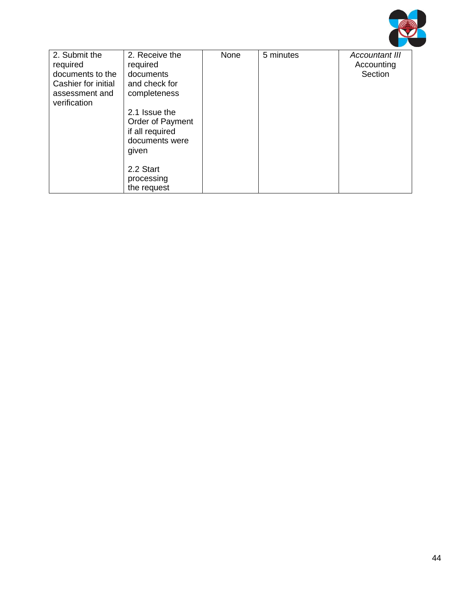

| 2. Submit the<br>required<br>documents to the<br>Cashier for initial<br>assessment and<br>verification | 2. Receive the<br>required<br>documents<br>and check for<br>completeness<br>2.1 Issue the<br>Order of Payment | None | 5 minutes | <b>Accountant III</b><br>Accounting<br>Section |
|--------------------------------------------------------------------------------------------------------|---------------------------------------------------------------------------------------------------------------|------|-----------|------------------------------------------------|
|                                                                                                        | if all required<br>documents were<br>given                                                                    |      |           |                                                |
|                                                                                                        | 2.2 Start<br>processing<br>the request                                                                        |      |           |                                                |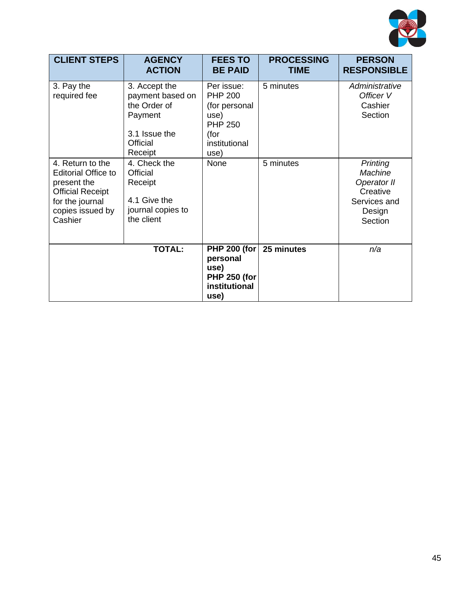

| <b>CLIENT STEPS</b>                                                                                                                        | <b>AGENCY</b><br><b>ACTION</b>                                                                       | <b>FEES TO</b><br><b>BE PAID</b>                                                                         | <b>PROCESSING</b><br><b>TIME</b> | <b>PERSON</b><br><b>RESPONSIBLE</b>                                                        |
|--------------------------------------------------------------------------------------------------------------------------------------------|------------------------------------------------------------------------------------------------------|----------------------------------------------------------------------------------------------------------|----------------------------------|--------------------------------------------------------------------------------------------|
| 3. Pay the<br>required fee                                                                                                                 | 3. Accept the<br>payment based on<br>the Order of<br>Payment<br>3.1 Issue the<br>Official<br>Receipt | Per issue:<br><b>PHP 200</b><br>(for personal<br>use)<br><b>PHP 250</b><br>(for<br>institutional<br>use) | 5 minutes                        | Administrative<br>Officer V<br>Cashier<br>Section                                          |
| 4. Return to the<br><b>Editorial Office to</b><br>present the<br><b>Official Receipt</b><br>for the journal<br>copies issued by<br>Cashier | 4. Check the<br>Official<br>Receipt<br>4.1 Give the<br>journal copies to<br>the client               | None                                                                                                     | 5 minutes                        | Printing<br><b>Machine</b><br>Operator II<br>Creative<br>Services and<br>Design<br>Section |
|                                                                                                                                            | <b>TOTAL:</b>                                                                                        | <b>PHP 200 (for</b><br>personal<br>use)<br><b>PHP 250 (for</b><br>institutional<br>use)                  | 25 minutes                       | n/a                                                                                        |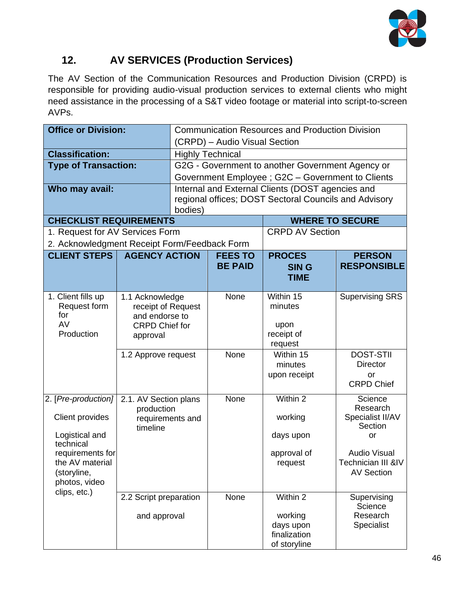

## **12. AV SERVICES (Production Services)**

The AV Section of the Communication Resources and Production Division (CRPD) is responsible for providing audio-visual production services to external clients who might need assistance in the processing of a S&T video footage or material into script-to-screen AVPs.

| <b>Office or Division:</b>                   |                        | <b>Communication Resources and Production Division</b> |                                                       |                                                   |                                         |  |
|----------------------------------------------|------------------------|--------------------------------------------------------|-------------------------------------------------------|---------------------------------------------------|-----------------------------------------|--|
|                                              |                        | (CRPD) - Audio Visual Section                          |                                                       |                                                   |                                         |  |
| <b>Classification:</b>                       |                        |                                                        | <b>Highly Technical</b>                               |                                                   |                                         |  |
| <b>Type of Transaction:</b>                  |                        |                                                        |                                                       | G2G - Government to another Government Agency or  |                                         |  |
|                                              |                        |                                                        |                                                       | Government Employee ; G2C - Government to Clients |                                         |  |
| Who may avail:                               |                        |                                                        |                                                       | Internal and External Clients (DOST agencies and  |                                         |  |
|                                              |                        | bodies)                                                | regional offices; DOST Sectoral Councils and Advisory |                                                   |                                         |  |
| <b>CHECKLIST REQUIREMENTS</b>                |                        |                                                        |                                                       | <b>WHERE TO SECURE</b>                            |                                         |  |
| 1. Request for AV Services Form              |                        |                                                        |                                                       | <b>CRPD AV Section</b>                            |                                         |  |
| 2. Acknowledgment Receipt Form/Feedback Form |                        |                                                        |                                                       |                                                   |                                         |  |
| <b>CLIENT STEPS   AGENCY ACTION</b>          |                        |                                                        | <b>FEES TO</b>                                        | <b>PROCES</b>                                     | <b>PERSON</b>                           |  |
|                                              |                        |                                                        | <b>BE PAID</b>                                        | <b>SING</b>                                       | <b>RESPONSIBLE</b>                      |  |
|                                              |                        |                                                        |                                                       | <b>TIME</b>                                       |                                         |  |
| 1. Client fills up                           | 1.1 Acknowledge        |                                                        | None                                                  | Within 15                                         | <b>Supervising SRS</b>                  |  |
| Request form                                 | receipt of Request     |                                                        |                                                       | minutes                                           |                                         |  |
| for                                          | and endorse to         |                                                        |                                                       |                                                   |                                         |  |
| AV                                           | <b>CRPD Chief for</b>  |                                                        |                                                       | upon                                              |                                         |  |
| Production                                   | approval               |                                                        |                                                       | receipt of                                        |                                         |  |
|                                              | 1.2 Approve request    |                                                        | None                                                  | request<br>Within 15                              | <b>DOST-STII</b>                        |  |
|                                              |                        |                                                        |                                                       | minutes                                           | <b>Director</b>                         |  |
|                                              |                        |                                                        |                                                       | upon receipt                                      | <b>or</b>                               |  |
|                                              |                        |                                                        |                                                       |                                                   | <b>CRPD Chief</b>                       |  |
| 2. [Pre-production]                          | 2.1. AV Section plans  |                                                        | None                                                  | Within 2                                          | Science                                 |  |
|                                              | production             |                                                        |                                                       |                                                   | Research                                |  |
| Client provides                              | requirements and       |                                                        |                                                       | working                                           | Specialist II/AV<br>Section             |  |
| Logistical and                               | timeline               |                                                        |                                                       | days upon                                         | <b>or</b>                               |  |
| technical                                    |                        |                                                        |                                                       |                                                   |                                         |  |
| requirements for                             |                        |                                                        |                                                       | approval of                                       | <b>Audio Visual</b>                     |  |
| the AV material                              |                        |                                                        |                                                       | request                                           | Technician III &IV<br><b>AV Section</b> |  |
| (storyline,<br>photos, video                 |                        |                                                        |                                                       |                                                   |                                         |  |
| clips, etc.)                                 |                        |                                                        |                                                       |                                                   |                                         |  |
|                                              | 2.2 Script preparation |                                                        | None                                                  | Within 2                                          | Supervising<br>Science                  |  |
|                                              | and approval           |                                                        |                                                       | working                                           | Research                                |  |
|                                              |                        |                                                        |                                                       | days upon                                         | Specialist                              |  |
|                                              |                        |                                                        |                                                       | finalization                                      |                                         |  |
|                                              |                        |                                                        |                                                       | of storyline                                      |                                         |  |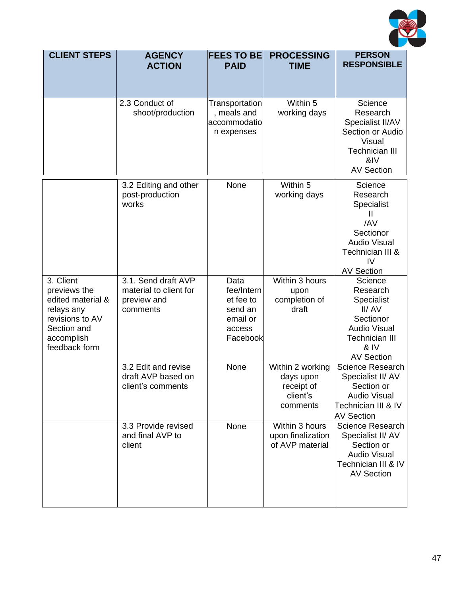

| <b>CLIENT STEPS</b>                                                                                                           | <b>AGENCY</b><br><b>ACTION</b>                                           | <b>FEES TO BE</b><br><b>PAID</b>                                             | <b>PROCESSING</b><br><b>TIME</b>                                    | <b>PERSON</b><br><b>RESPONSIBLE</b>                                                                                                  |
|-------------------------------------------------------------------------------------------------------------------------------|--------------------------------------------------------------------------|------------------------------------------------------------------------------|---------------------------------------------------------------------|--------------------------------------------------------------------------------------------------------------------------------------|
|                                                                                                                               | 2.3 Conduct of<br>shoot/production                                       | Transportation<br>, meals and<br>accommodatio<br>n expenses                  | Within 5<br>working days                                            | Science<br>Research<br>Specialist II/AV<br>Section or Audio<br>Visual<br><b>Technician III</b><br>&IV<br><b>AV Section</b>           |
|                                                                                                                               | 3.2 Editing and other<br>post-production<br>works                        | None                                                                         | Within 5<br>working days                                            | Science<br>Research<br>Specialist<br>Ш<br>/AV<br>Sectionor<br><b>Audio Visual</b><br>Technician III &<br>IV<br><b>AV Section</b>     |
| 3. Client<br>previews the<br>edited material &<br>relays any<br>revisions to AV<br>Section and<br>accomplish<br>feedback form | 3.1. Send draft AVP<br>material to client for<br>preview and<br>comments | Data<br>fee/Intern<br>et fee to<br>send an<br>email or<br>access<br>Facebook | Within 3 hours<br>upon<br>completion of<br>draft                    | Science<br>Research<br>Specialist<br>II/AV<br>Sectionor<br><b>Audio Visual</b><br><b>Technician III</b><br>& IV<br><b>AV Section</b> |
|                                                                                                                               | 3.2 Edit and revise<br>draft AVP based on<br>client's comments           | None                                                                         | Within 2 working<br>days upon<br>receipt of<br>client's<br>comments | Science Research<br>Specialist II/ AV<br>Section or<br><b>Audio Visual</b><br>Technician III & IV<br><b>AV Section</b>               |
|                                                                                                                               | 3.3 Provide revised<br>and final AVP to<br>client                        | None                                                                         | Within 3 hours<br>upon finalization<br>of AVP material              | Science Research<br>Specialist II/ AV<br>Section or<br><b>Audio Visual</b><br>Technician III & IV<br><b>AV Section</b>               |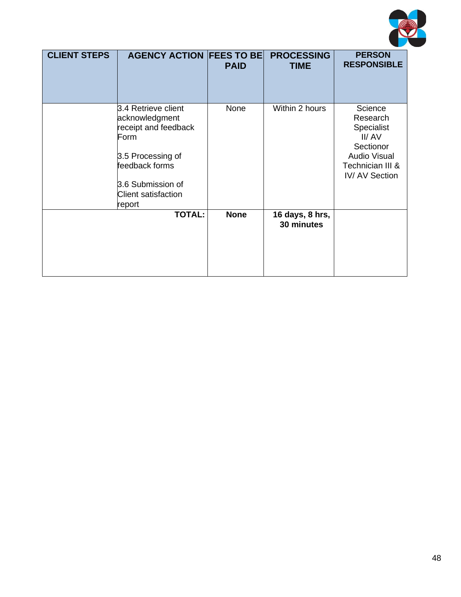

| <b>CLIENT STEPS</b> | <b>AGENCY ACTION FEES TO BE</b>                                                                                                                                           | <b>PAID</b> | <b>PROCESSING</b><br><b>TIME</b> | <b>PERSON</b><br><b>RESPONSIBLE</b>                                                                                        |
|---------------------|---------------------------------------------------------------------------------------------------------------------------------------------------------------------------|-------------|----------------------------------|----------------------------------------------------------------------------------------------------------------------------|
|                     | 3.4 Retrieve client<br>acknowledgment<br>receipt and feedback<br>Form<br>3.5 Processing of<br>feedback forms<br>3.6 Submission of<br><b>Client satisfaction</b><br>report | None        | Within 2 hours                   | Science<br>Research<br>Specialist<br>II/AV<br>Sectionor<br><b>Audio Visual</b><br>Technician III &<br><b>IV/AV Section</b> |
|                     | <b>TOTAL:</b>                                                                                                                                                             | <b>None</b> | 16 days, 8 hrs,<br>30 minutes    |                                                                                                                            |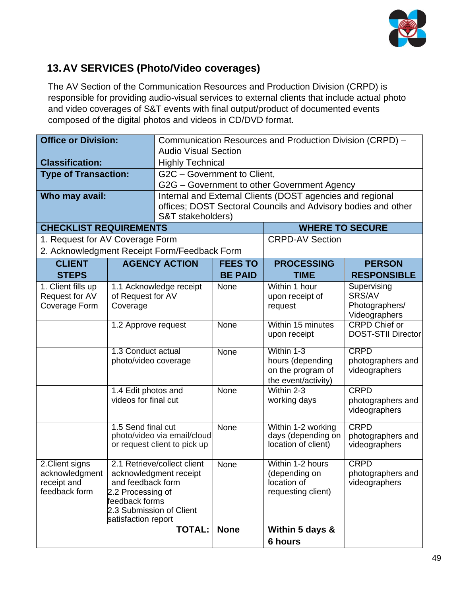

## **13.AV SERVICES (Photo/Video coverages)**

The AV Section of the Communication Resources and Production Division (CRPD) is responsible for providing audio-visual services to external clients that include actual photo and video coverages of S&T events with final output/product of documented events composed of the digital photos and videos in CD/DVD format.

| <b>Office or Division:</b>                   |                      | Communication Resources and Production Division (CRPD) - |                             |                                                               |                                    |  |
|----------------------------------------------|----------------------|----------------------------------------------------------|-----------------------------|---------------------------------------------------------------|------------------------------------|--|
|                                              |                      |                                                          | <b>Audio Visual Section</b> |                                                               |                                    |  |
| <b>Classification:</b>                       |                      | <b>Highly Technical</b>                                  |                             |                                                               |                                    |  |
| <b>Type of Transaction:</b>                  |                      | G2C - Government to Client,                              |                             |                                                               |                                    |  |
|                                              |                      |                                                          |                             | G2G - Government to other Government Agency                   |                                    |  |
| Who may avail:                               |                      |                                                          |                             | Internal and External Clients (DOST agencies and regional     |                                    |  |
|                                              |                      |                                                          |                             | offices; DOST Sectoral Councils and Advisory bodies and other |                                    |  |
|                                              |                      | S&T stakeholders)                                        |                             |                                                               |                                    |  |
| <b>CHECKLIST REQUIREMENTS</b>                |                      |                                                          |                             | <b>WHERE TO SECURE</b>                                        |                                    |  |
| 1. Request for AV Coverage Form              |                      |                                                          |                             | <b>CRPD-AV Section</b>                                        |                                    |  |
| 2. Acknowledgment Receipt Form/Feedback Form |                      |                                                          |                             |                                                               |                                    |  |
| <b>CLIENT</b>                                |                      | <b>AGENCY ACTION</b>                                     | <b>FEES TO</b>              | <b>PROCESSING</b>                                             | <b>PERSON</b>                      |  |
| <b>STEPS</b>                                 |                      |                                                          | <b>BE PAID</b>              | <b>TIME</b>                                                   | <b>RESPONSIBLE</b>                 |  |
| 1. Client fills up                           |                      | 1.1 Acknowledge receipt                                  | None                        | Within 1 hour                                                 | Supervising                        |  |
| Request for AV                               | of Request for AV    |                                                          |                             | upon receipt of                                               | SRS/AV                             |  |
| Coverage Form                                | Coverage             |                                                          |                             | request                                                       | Photographers/                     |  |
|                                              |                      |                                                          |                             |                                                               | Videographers                      |  |
|                                              | 1.2 Approve request  |                                                          | None                        | Within 15 minutes                                             | <b>CRPD Chief or</b>               |  |
|                                              |                      |                                                          |                             | upon receipt                                                  | <b>DOST-STII Director</b>          |  |
|                                              | 1.3 Conduct actual   |                                                          | None                        | Within 1-3                                                    | <b>CRPD</b>                        |  |
|                                              | photo/video coverage |                                                          |                             | hours (depending                                              | photographers and                  |  |
|                                              |                      |                                                          |                             | on the program of                                             | videographers                      |  |
|                                              |                      |                                                          |                             | the event/activity)                                           |                                    |  |
|                                              | 1.4 Edit photos and  |                                                          | None                        | Within 2-3                                                    | <b>CRPD</b>                        |  |
|                                              | videos for final cut |                                                          |                             | working days                                                  | photographers and                  |  |
|                                              |                      |                                                          |                             |                                                               | videographers                      |  |
|                                              | 1.5 Send final cut   |                                                          | None                        | Within 1-2 working                                            | <b>CRPD</b>                        |  |
|                                              |                      | photo/video via email/cloud                              |                             | days (depending on                                            | photographers and                  |  |
|                                              |                      | or request client to pick up                             |                             | location of client)                                           | videographers                      |  |
|                                              |                      |                                                          |                             |                                                               |                                    |  |
| 2. Client signs                              |                      | 2.1 Retrieve/collect client                              | None                        | Within 1-2 hours                                              | <b>CRPD</b>                        |  |
| acknowledgment<br>receipt and                | and feedback form    | acknowledgment receipt                                   |                             | (depending on<br>location of                                  | photographers and<br>videographers |  |
| feedback form                                |                      |                                                          |                             | requesting client)                                            |                                    |  |
| 2.2 Processing of<br>feedback forms          |                      |                                                          |                             |                                                               |                                    |  |
| 2.3 Submission of Client                     |                      |                                                          |                             |                                                               |                                    |  |
|                                              | satisfaction report  |                                                          |                             |                                                               |                                    |  |
|                                              |                      | <b>TOTAL:</b>                                            | <b>None</b>                 | Within 5 days &                                               |                                    |  |
|                                              |                      |                                                          |                             | 6 hours                                                       |                                    |  |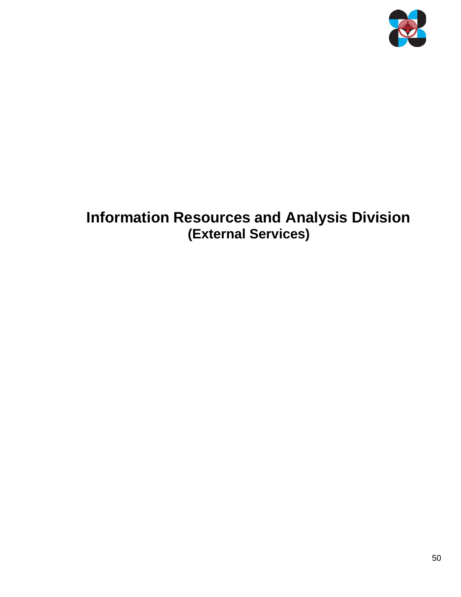

# **Information Resources and Analysis Division (External Services)**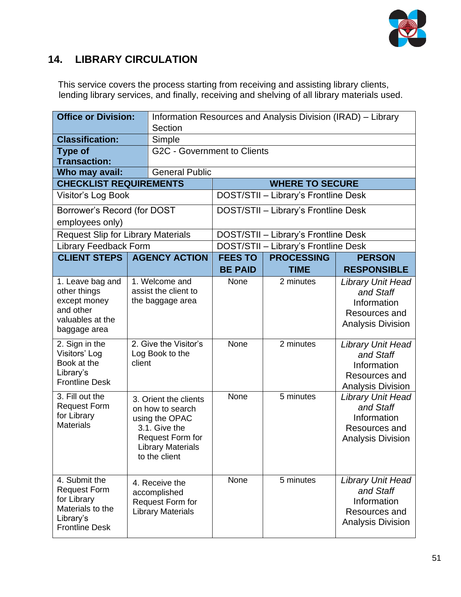

#### **14. LIBRARY CIRCULATION**

This service covers the process starting from receiving and assisting library clients, lending library services, and finally, receiving and shelving of all library materials used.

| <b>Office or Division:</b>                                                                                    |                                                                                                                                               | Section                                                                        |                                  | Information Resources and Analysis Division (IRAD) - Library |                                                                                                   |
|---------------------------------------------------------------------------------------------------------------|-----------------------------------------------------------------------------------------------------------------------------------------------|--------------------------------------------------------------------------------|----------------------------------|--------------------------------------------------------------|---------------------------------------------------------------------------------------------------|
| <b>Classification:</b>                                                                                        |                                                                                                                                               | Simple                                                                         |                                  |                                                              |                                                                                                   |
| <b>Type of</b><br><b>Transaction:</b>                                                                         |                                                                                                                                               | <b>G2C - Government to Clients</b>                                             |                                  |                                                              |                                                                                                   |
| Who may avail:                                                                                                |                                                                                                                                               | <b>General Public</b>                                                          |                                  |                                                              |                                                                                                   |
| <b>CHECKLIST REQUIREMENTS</b>                                                                                 |                                                                                                                                               |                                                                                |                                  | <b>WHERE TO SECURE</b>                                       |                                                                                                   |
| Visitor's Log Book                                                                                            |                                                                                                                                               |                                                                                |                                  | DOST/STII - Library's Frontline Desk                         |                                                                                                   |
| Borrower's Record (for DOST<br>employees only)                                                                |                                                                                                                                               |                                                                                |                                  | DOST/STII - Library's Frontline Desk                         |                                                                                                   |
| <b>Request Slip for Library Materials</b>                                                                     |                                                                                                                                               |                                                                                |                                  | DOST/STII - Library's Frontline Desk                         |                                                                                                   |
| <b>Library Feedback Form</b>                                                                                  |                                                                                                                                               |                                                                                |                                  | DOST/STII - Library's Frontline Desk                         |                                                                                                   |
| <b>CLIENT STEPS</b>                                                                                           |                                                                                                                                               | <b>AGENCY ACTION</b>                                                           | <b>FEES TO</b><br><b>BE PAID</b> | <b>PROCESSING</b><br><b>TIME</b>                             | <b>PERSON</b><br><b>RESPONSIBLE</b>                                                               |
| 1. Leave bag and<br>other things<br>except money<br>and other<br>valuables at the<br>baggage area             | 1. Welcome and<br>assist the client to<br>the baggage area                                                                                    |                                                                                | None                             | 2 minutes                                                    | <b>Library Unit Head</b><br>and Staff<br>Information<br>Resources and<br><b>Analysis Division</b> |
| 2. Sign in the<br>Visitors' Log<br>Book at the<br>Library's<br><b>Frontline Desk</b>                          | 2. Give the Visitor's<br>Log Book to the<br>client                                                                                            |                                                                                | None                             | 2 minutes                                                    | <b>Library Unit Head</b><br>and Staff<br>Information<br>Resources and<br><b>Analysis Division</b> |
| 3. Fill out the<br><b>Request Form</b><br>for Library<br><b>Materials</b>                                     | 3. Orient the clients<br>on how to search<br>using the OPAC<br>3.1. Give the<br>Request Form for<br><b>Library Materials</b><br>to the client |                                                                                | None                             | 5 minutes                                                    | <b>Library Unit Head</b><br>and Staff<br>Information<br>Resources and<br><b>Analysis Division</b> |
| 4. Submit the<br><b>Request Form</b><br>for Library<br>Materials to the<br>Library's<br><b>Frontline Desk</b> |                                                                                                                                               | 4. Receive the<br>accomplished<br>Request Form for<br><b>Library Materials</b> | None                             | 5 minutes                                                    | <b>Library Unit Head</b><br>and Staff<br>Information<br>Resources and<br><b>Analysis Division</b> |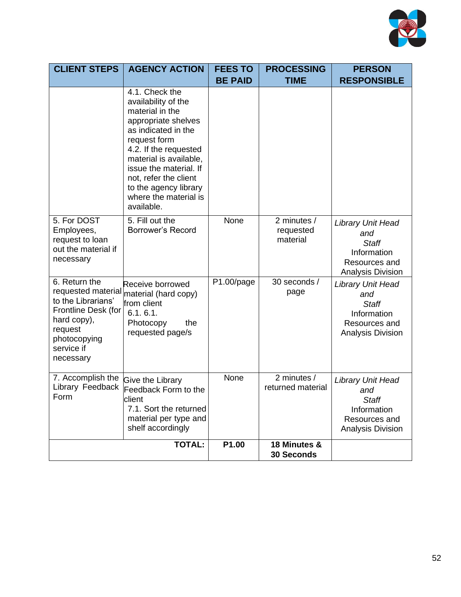

| <b>CLIENT STEPS</b>                                                                                                                                   | <b>AGENCY ACTION</b>                                                                                                                                                                                                                                                                         | <b>FEES TO</b> | <b>PROCESSING</b>                    | <b>PERSON</b>                                                                                               |
|-------------------------------------------------------------------------------------------------------------------------------------------------------|----------------------------------------------------------------------------------------------------------------------------------------------------------------------------------------------------------------------------------------------------------------------------------------------|----------------|--------------------------------------|-------------------------------------------------------------------------------------------------------------|
|                                                                                                                                                       |                                                                                                                                                                                                                                                                                              | <b>BE PAID</b> | <b>TIME</b>                          | <b>RESPONSIBLE</b>                                                                                          |
|                                                                                                                                                       | 4.1. Check the<br>availability of the<br>material in the<br>appropriate shelves<br>as indicated in the<br>request form<br>4.2. If the requested<br>material is available,<br>issue the material. If<br>not, refer the client<br>to the agency library<br>where the material is<br>available. |                |                                      |                                                                                                             |
| 5. For DOST<br>Employees,<br>request to loan<br>out the material if<br>necessary                                                                      | 5. Fill out the<br><b>Borrower's Record</b>                                                                                                                                                                                                                                                  | None           | 2 minutes /<br>requested<br>material | <b>Library Unit Head</b><br>and<br><b>Staff</b><br>Information<br>Resources and<br><b>Analysis Division</b> |
| 6. Return the<br>requested material<br>to the Librarians'<br>Frontline Desk (for<br>hard copy),<br>request<br>photocopying<br>service if<br>necessary | Receive borrowed<br>material (hard copy)<br>from client<br>6.1.6.1.<br>Photocopy<br>the<br>requested page/s                                                                                                                                                                                  | P1.00/page     | 30 seconds /<br>page                 | Library Unit Head<br>and<br><b>Staff</b><br>Information<br>Resources and<br>Analysis Division               |
| 7. Accomplish the<br>Library Feedback<br>Form                                                                                                         | <b>Give the Library</b><br>Feedback Form to the<br>lclient<br>7.1. Sort the returned<br>material per type and<br>shelf accordingly                                                                                                                                                           | None           | 2 minutes /<br>returned material     | <b>Library Unit Head</b><br>and<br><b>Staff</b><br>Information<br>Resources and<br><b>Analysis Division</b> |
|                                                                                                                                                       | <b>TOTAL:</b>                                                                                                                                                                                                                                                                                | P1.00          | 18 Minutes &<br><b>30 Seconds</b>    |                                                                                                             |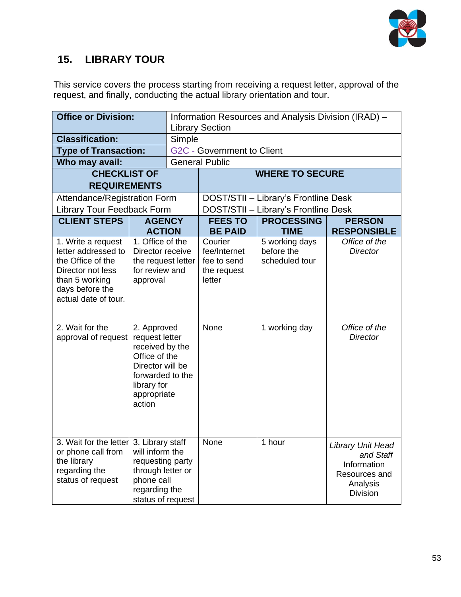

### **15. LIBRARY TOUR**

This service covers the process starting from receiving a request letter, approval of the request, and finally, conducting the actual library orientation and tour.

| <b>Office or Division:</b>                                                                                                                       |                                                                                                                                                   | Information Resources and Analysis Division (IRAD) -<br><b>Library Section</b> |                                                                 |                                                |                                                                                               |  |
|--------------------------------------------------------------------------------------------------------------------------------------------------|---------------------------------------------------------------------------------------------------------------------------------------------------|--------------------------------------------------------------------------------|-----------------------------------------------------------------|------------------------------------------------|-----------------------------------------------------------------------------------------------|--|
| <b>Classification:</b>                                                                                                                           |                                                                                                                                                   | Simple                                                                         |                                                                 |                                                |                                                                                               |  |
| <b>Type of Transaction:</b>                                                                                                                      |                                                                                                                                                   |                                                                                | <b>G2C - Government to Client</b>                               |                                                |                                                                                               |  |
| Who may avail:                                                                                                                                   |                                                                                                                                                   |                                                                                | <b>General Public</b>                                           |                                                |                                                                                               |  |
| <b>CHECKLIST OF</b>                                                                                                                              |                                                                                                                                                   |                                                                                |                                                                 | <b>WHERE TO SECURE</b>                         |                                                                                               |  |
| <b>REQUIREMENTS</b>                                                                                                                              |                                                                                                                                                   |                                                                                |                                                                 |                                                |                                                                                               |  |
| Attendance/Registration Form                                                                                                                     |                                                                                                                                                   |                                                                                |                                                                 | DOST/STII - Library's Frontline Desk           |                                                                                               |  |
| <b>Library Tour Feedback Form</b>                                                                                                                |                                                                                                                                                   |                                                                                |                                                                 | DOST/STII - Library's Frontline Desk           |                                                                                               |  |
| <b>CLIENT STEPS</b>                                                                                                                              | <b>AGENCY</b>                                                                                                                                     |                                                                                | <b>FEES TO</b>                                                  | <b>PROCESSING</b>                              | <b>PERSON</b>                                                                                 |  |
|                                                                                                                                                  | <b>ACTION</b>                                                                                                                                     |                                                                                | <b>BE PAID</b>                                                  | <b>TIME</b>                                    | <b>RESPONSIBLE</b>                                                                            |  |
| 1. Write a request<br>letter addressed to<br>the Office of the<br>Director not less<br>than 5 working<br>days before the<br>actual date of tour. | 1. Office of the<br>Director receive<br>the request letter<br>for review and<br>approval                                                          |                                                                                | Courier<br>fee/Internet<br>fee to send<br>the request<br>letter | 5 working days<br>before the<br>scheduled tour | Office of the<br><b>Director</b>                                                              |  |
| 2. Wait for the<br>approval of request                                                                                                           | 2. Approved<br>request letter<br>received by the<br>Office of the<br>Director will be<br>forwarded to the<br>library for<br>appropriate<br>action |                                                                                | None                                                            | 1 working day                                  | Office of the<br><b>Director</b>                                                              |  |
| 3. Wait for the letter<br>or phone call from<br>the library<br>regarding the<br>status of request                                                | 3. Library staff<br>will inform the<br>requesting party<br>through letter or<br>phone call<br>regarding the<br>status of request                  |                                                                                | None                                                            | 1 hour                                         | Library Unit Head<br>and Staff<br>Information<br>Resources and<br>Analysis<br><b>Division</b> |  |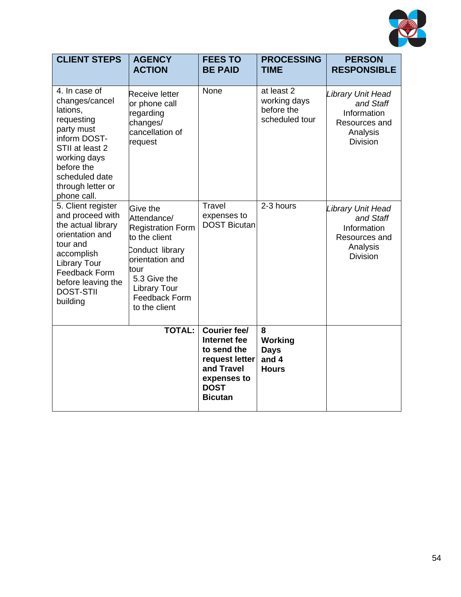

| <b>CLIENT STEPS</b>                                                                                                                                                                                     | <b>AGENCY</b><br><b>ACTION</b>                                                                                                                                                                     | <b>FEES TO</b><br><b>BE PAID</b>                                                                                                   | <b>PROCESSING</b><br><b>TIME</b>                           | <b>PERSON</b><br><b>RESPONSIBLE</b>                                                           |
|---------------------------------------------------------------------------------------------------------------------------------------------------------------------------------------------------------|----------------------------------------------------------------------------------------------------------------------------------------------------------------------------------------------------|------------------------------------------------------------------------------------------------------------------------------------|------------------------------------------------------------|-----------------------------------------------------------------------------------------------|
| 4. In case of<br>changes/cancel<br>lations,<br>requesting<br>party must<br>inform DOST-<br>STII at least 2<br>working days<br>before the<br>scheduled date<br>through letter or<br>phone call.          | <b>Receive letter</b><br>or phone call<br>regarding<br>changes/<br>cancellation of<br>request                                                                                                      | None                                                                                                                               | at least 2<br>working days<br>before the<br>scheduled tour | Library Unit Head<br>and Staff<br>Information<br>Resources and<br>Analysis<br><b>Division</b> |
| 5. Client register<br>and proceed with<br>the actual library<br>orientation and<br>tour and<br>accomplish<br><b>Library Tour</b><br>Feedback Form<br>before leaving the<br><b>DOST-STII</b><br>building | <b>Give</b> the<br>Attendance/<br><b>Registration Form</b><br>to the client<br>Conduct library<br>orientation and<br>tour<br>5.3 Give the<br><b>Library Tour</b><br>Feedback Form<br>to the client | Travel<br>expenses to<br><b>DOST Bicutan</b>                                                                                       | 2-3 hours                                                  | Library Unit Head<br>and Staff<br>Information<br>Resources and<br>Analysis<br><b>Division</b> |
|                                                                                                                                                                                                         | <b>TOTAL:</b>                                                                                                                                                                                      | <b>Courier fee/</b><br>Internet fee<br>to send the<br>request letter<br>and Travel<br>expenses to<br><b>DOST</b><br><b>Bicutan</b> | 8<br>Working<br><b>Days</b><br>and 4<br><b>Hours</b>       |                                                                                               |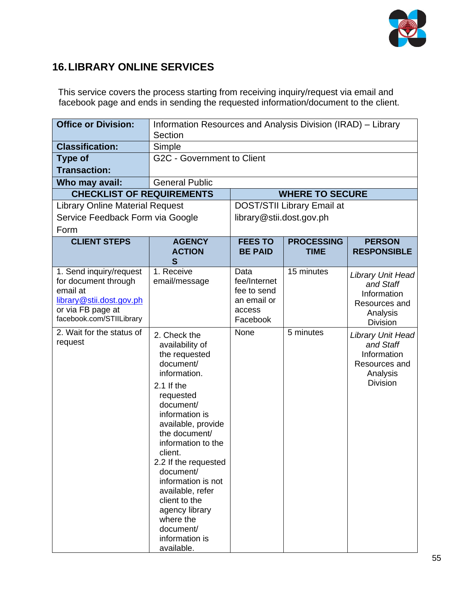

## **16.LIBRARY ONLINE SERVICES**

This service covers the process starting from receiving inquiry/request via email and facebook page and ends in sending the requested information/document to the client.

| <b>Office or Division:</b>                                                                                                               | Information Resources and Analysis Division (IRAD) - Library                                                                                                                                                                                                                                                                                                                                  |                                                                          |                            |                                                                                                      |  |  |
|------------------------------------------------------------------------------------------------------------------------------------------|-----------------------------------------------------------------------------------------------------------------------------------------------------------------------------------------------------------------------------------------------------------------------------------------------------------------------------------------------------------------------------------------------|--------------------------------------------------------------------------|----------------------------|------------------------------------------------------------------------------------------------------|--|--|
|                                                                                                                                          | Section                                                                                                                                                                                                                                                                                                                                                                                       |                                                                          |                            |                                                                                                      |  |  |
| <b>Classification:</b>                                                                                                                   | Simple                                                                                                                                                                                                                                                                                                                                                                                        |                                                                          |                            |                                                                                                      |  |  |
| <b>Type of</b>                                                                                                                           |                                                                                                                                                                                                                                                                                                                                                                                               | G2C - Government to Client                                               |                            |                                                                                                      |  |  |
| <b>Transaction:</b>                                                                                                                      |                                                                                                                                                                                                                                                                                                                                                                                               |                                                                          |                            |                                                                                                      |  |  |
| Who may avail:                                                                                                                           | <b>General Public</b>                                                                                                                                                                                                                                                                                                                                                                         |                                                                          |                            |                                                                                                      |  |  |
| <b>CHECKLIST OF REQUIREMENTS</b>                                                                                                         |                                                                                                                                                                                                                                                                                                                                                                                               |                                                                          | <b>WHERE TO SECURE</b>     |                                                                                                      |  |  |
| <b>Library Online Material Request</b>                                                                                                   |                                                                                                                                                                                                                                                                                                                                                                                               |                                                                          | DOST/STII Library Email at |                                                                                                      |  |  |
| Service Feedback Form via Google                                                                                                         |                                                                                                                                                                                                                                                                                                                                                                                               | library@stii.dost.gov.ph                                                 |                            |                                                                                                      |  |  |
| Form                                                                                                                                     |                                                                                                                                                                                                                                                                                                                                                                                               |                                                                          |                            |                                                                                                      |  |  |
| <b>CLIENT STEPS</b>                                                                                                                      | <b>AGENCY</b>                                                                                                                                                                                                                                                                                                                                                                                 | <b>FEES TO</b>                                                           | <b>PROCESSING</b>          | <b>PERSON</b>                                                                                        |  |  |
|                                                                                                                                          | <b>ACTION</b><br>S                                                                                                                                                                                                                                                                                                                                                                            | <b>BE PAID</b>                                                           | <b>TIME</b>                | <b>RESPONSIBLE</b>                                                                                   |  |  |
| 1. Send inquiry/request<br>for document through<br>email at<br>library@stii.dost.gov.ph<br>or via FB page at<br>facebook.com/STIILibrary | 1. Receive<br>email/message                                                                                                                                                                                                                                                                                                                                                                   | Data<br>fee/Internet<br>fee to send<br>an email or<br>access<br>Facebook | 15 minutes                 | <b>Library Unit Head</b><br>and Staff<br>Information<br>Resources and<br>Analysis<br><b>Division</b> |  |  |
| 2. Wait for the status of<br>request                                                                                                     | 2. Check the<br>availability of<br>the requested<br>document/<br>information.<br>$2.1$ If the<br>requested<br>document/<br>information is<br>available, provide<br>the document/<br>information to the<br>client.<br>2.2 If the requested<br>document/<br>information is not<br>available, refer<br>client to the<br>agency library<br>where the<br>document/<br>information is<br>available. | None                                                                     | 5 minutes                  | <b>Library Unit Head</b><br>and Staff<br>Information<br>Resources and<br>Analysis<br><b>Division</b> |  |  |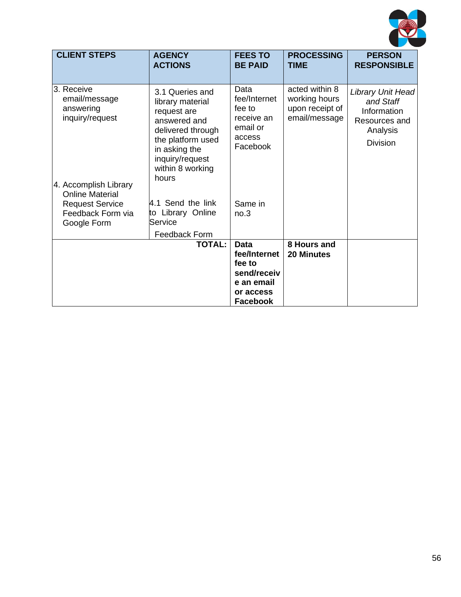

| <b>CLIENT STEPS</b>                                                                                             | <b>AGENCY</b><br><b>ACTIONS</b>                                                                                                                                               | <b>FEES TO</b><br><b>BE PAID</b>                                                                   | <b>PROCESSING</b><br>TIME                                           | <b>PERSON</b><br><b>RESPONSIBLE</b>                                                           |
|-----------------------------------------------------------------------------------------------------------------|-------------------------------------------------------------------------------------------------------------------------------------------------------------------------------|----------------------------------------------------------------------------------------------------|---------------------------------------------------------------------|-----------------------------------------------------------------------------------------------|
| l3. Receive<br>email/message<br>answering<br>inquiry/request<br>4. Accomplish Library<br><b>Online Material</b> | 3.1 Queries and<br>library material<br>request are<br>answered and<br>delivered through<br>the platform used<br>in asking the<br>inquiry/request<br>within 8 working<br>hours | Data<br>fee/Internet<br>fee to<br>receive an<br>email or<br>access<br>Facebook                     | acted within 8<br>working hours<br>upon receipt of<br>email/message | Library Unit Head<br>and Staff<br>Information<br>Resources and<br>Analysis<br><b>Division</b> |
| <b>Request Service</b><br>Feedback Form via<br>Google Form                                                      | 4.1 Send the link<br>to Library Online<br>Service                                                                                                                             | Same in<br>no.3                                                                                    |                                                                     |                                                                                               |
|                                                                                                                 | <b>Feedback Form</b><br><b>TOTAL:</b>                                                                                                                                         | <b>Data</b><br>fee/Internet<br>fee to<br>send/receiv<br>e an email<br>or access<br><b>Facebook</b> | 8 Hours and<br><b>20 Minutes</b>                                    |                                                                                               |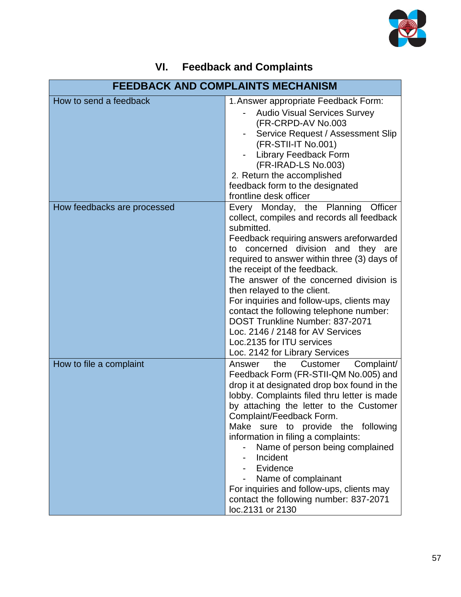

| VI. | <b>Feedback and Complaints</b> |  |  |
|-----|--------------------------------|--|--|
|-----|--------------------------------|--|--|

| <b>FEEDBACK AND COMPLAINTS MECHANISM</b> |                                                                                                                                                                                                                                                                                                                                                                                                                                                                                                                                                                           |  |  |
|------------------------------------------|---------------------------------------------------------------------------------------------------------------------------------------------------------------------------------------------------------------------------------------------------------------------------------------------------------------------------------------------------------------------------------------------------------------------------------------------------------------------------------------------------------------------------------------------------------------------------|--|--|
| How to send a feedback                   | 1. Answer appropriate Feedback Form:<br><b>Audio Visual Services Survey</b><br>(FR-CRPD-AV No.003<br>Service Request / Assessment Slip<br>(FR-STII-IT No.001)<br><b>Library Feedback Form</b><br>(FR-IRAD-LS No.003)<br>2. Return the accomplished<br>feedback form to the designated<br>frontline desk officer                                                                                                                                                                                                                                                           |  |  |
| How feedbacks are processed              | Every Monday, the Planning<br>Officer<br>collect, compiles and records all feedback<br>submitted.<br>Feedback requiring answers areforwarded<br>to concerned division and they are<br>required to answer within three (3) days of<br>the receipt of the feedback.<br>The answer of the concerned division is<br>then relayed to the client.<br>For inquiries and follow-ups, clients may<br>contact the following telephone number:<br>DOST Trunkline Number: 837-2071<br>Loc. 2146 / 2148 for AV Services<br>Loc.2135 for ITU services<br>Loc. 2142 for Library Services |  |  |
| How to file a complaint                  | Answer<br>the<br>Customer<br>Complaint/<br>Feedback Form (FR-STII-QM No.005) and<br>drop it at designated drop box found in the<br>lobby. Complaints filed thru letter is made<br>by attaching the letter to the Customer<br>Complaint/Feedback Form.<br>Make sure to provide the following<br>information in filing a complaints:<br>Name of person being complained<br>Incident<br>Evidence<br>Name of complainant<br>For inquiries and follow-ups, clients may<br>contact the following number: 837-2071<br>loc.2131 or 2130                                           |  |  |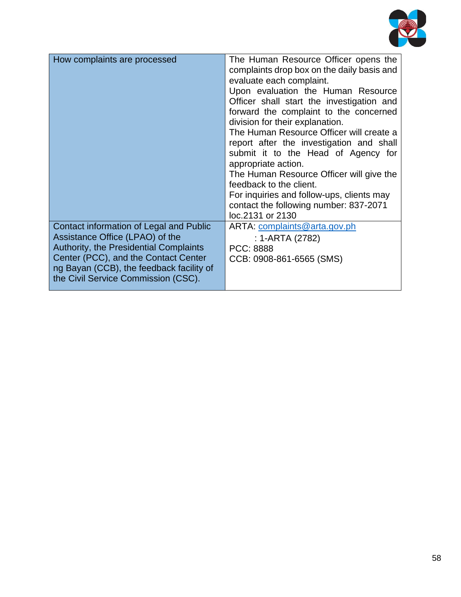

| How complaints are processed                                                                                                                                                                                                                           | The Human Resource Officer opens the<br>complaints drop box on the daily basis and<br>evaluate each complaint.<br>Upon evaluation the Human Resource<br>Officer shall start the investigation and<br>forward the complaint to the concerned<br>division for their explanation.<br>The Human Resource Officer will create a<br>report after the investigation and shall<br>submit it to the Head of Agency for<br>appropriate action.<br>The Human Resource Officer will give the<br>feedback to the client.<br>For inquiries and follow-ups, clients may |  |
|--------------------------------------------------------------------------------------------------------------------------------------------------------------------------------------------------------------------------------------------------------|----------------------------------------------------------------------------------------------------------------------------------------------------------------------------------------------------------------------------------------------------------------------------------------------------------------------------------------------------------------------------------------------------------------------------------------------------------------------------------------------------------------------------------------------------------|--|
|                                                                                                                                                                                                                                                        | contact the following number: 837-2071<br>loc.2131 or 2130                                                                                                                                                                                                                                                                                                                                                                                                                                                                                               |  |
| Contact information of Legal and Public<br>Assistance Office (LPAO) of the<br><b>Authority, the Presidential Complaints</b><br>Center (PCC), and the Contact Center<br>ng Bayan (CCB), the feedback facility of<br>the Civil Service Commission (CSC). | ARTA: complaints@arta.gov.ph<br>: 1-ARTA (2782)<br>PCC: 8888<br>CCB: 0908-861-6565 (SMS)                                                                                                                                                                                                                                                                                                                                                                                                                                                                 |  |